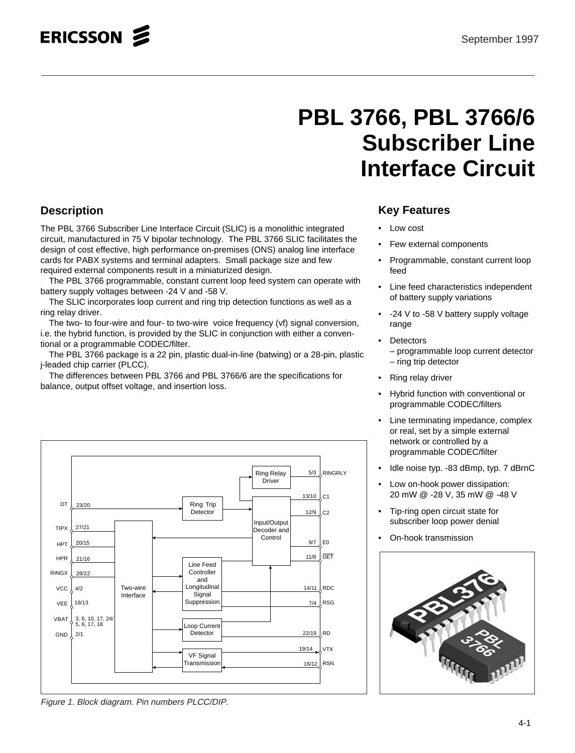# **PBL 3766, PBL 3766/6 Subscriber Line Interface Circuit**

# **Description**

The PBL 3766 Subscriber Line Interface Circuit (SLIC) is a monolithic integrated circuit, manufactured in 75 V bipolar technology. The PBL 3766 SLIC facilitates the design of cost effective, high performance on-premises (ONS) analog line interface cards for PABX systems and terminal adapters. Small package size and few required external components result in a miniaturized design.

The PBL 3766 programmable, constant current loop feed system can operate with battery supply voltages between -24 V and -58 V.

The SLIC incorporates loop current and ring trip detection functions as well as a ring relay driver.

The two- to four-wire and four- to two-wire voice frequency (vf) signal conversion, i.e. the hybrid function, is provided by the SLIC in conjunction with either a conventional or a programmable CODEC/filter.

The PBL 3766 package is a 22 pin, plastic dual-in-line (batwing) or a 28-pin, plastic j-leaded chip carrier (PLCC).

The differences between PBL 3766 and PBL 3766/6 are the specifications for balance, output offset voltage, and insertion loss.



Figure 1. Block diagram. Pin numbers PLCC/DIP.

## **Key Features**

- Low cost
- Few external components
- Programmable, constant current loop feed
- Line feed characteristics independent of battery supply variations
- -24 V to -58 V battery supply voltage range
- **Detectors** – programmable loop current detector – ring trip detector
- Ring relay driver
- Hybrid function with conventional or programmable CODEC/filters
- Line terminating impedance, complex or real, set by a simple external network or controlled by a programmable CODEC/filter
- Idle noise typ. -83 dBmp, typ. 7 dBrnC
- Low on-hook power dissipation: 20 mW @ -28 V, 35 mW @ -48 V
- Tip-ring open circuit state for subscriber loop power denial
- On-hook transmission

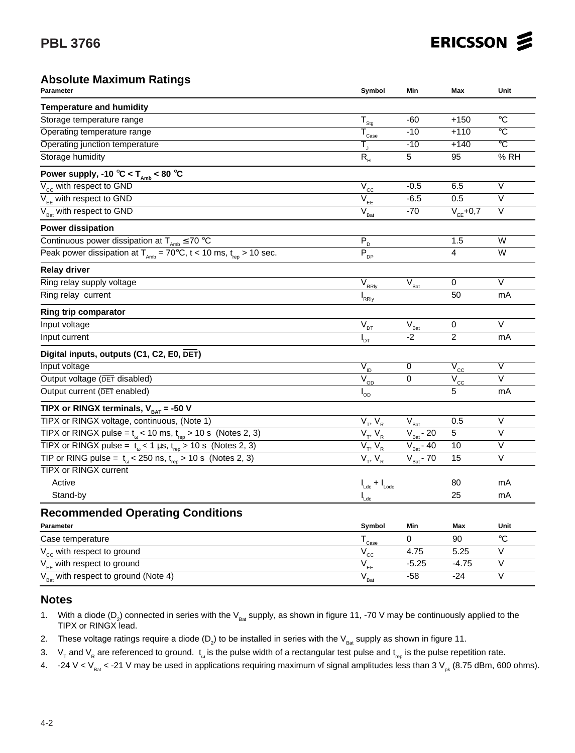### **Absolute Maximum Ratings**

| Parameter                                                                                        | Symbol                                            | Min                                     | Max                                               | Unit                    |
|--------------------------------------------------------------------------------------------------|---------------------------------------------------|-----------------------------------------|---------------------------------------------------|-------------------------|
| <b>Temperature and humidity</b>                                                                  |                                                   |                                         |                                                   |                         |
| Storage temperature range                                                                        | $T_{s_{\underline{ig}}}$                          | $-60$                                   | $+150$                                            | $^{\circ}C$             |
| Operating temperature range                                                                      | $\bar{T}_{\text{Case}}$                           | $-10$                                   | $+110$                                            | $\overline{\circ}$ C    |
| Operating junction temperature                                                                   | Т,                                                | $-10$                                   | $+140$                                            | $\overline{C}$          |
| Storage humidity                                                                                 | $R_{H}$                                           | $\overline{5}$                          | 95                                                | % RH                    |
| Power supply, -10 °C < $T_{\text{amb}}$ < 80 °C                                                  |                                                   |                                         |                                                   |                         |
| $V_{cc}$ with respect to GND                                                                     | $\overline{\mathsf{V}}_{\underline{\mathsf{CC}}}$ | $-0.5$                                  | 6.5                                               | $\overline{\mathsf{v}}$ |
| $V_{EF}$ with respect to GND                                                                     | $\overline{V}_{\underline{\text{EE}}}$            | $-6.5$                                  | 0.5                                               | $\vee$                  |
| $V_{\text{Bat}}$ with respect to GND                                                             | $V_{\text{Bat}}$                                  | $-70$                                   | $V_{EE}$ +0,7                                     | $\vee$                  |
| <b>Power dissipation</b>                                                                         |                                                   |                                         |                                                   |                         |
| Continuous power dissipation at $T_{\text{amb}} \le 70$ °C                                       | $\overline{P_{D}}$                                |                                         | 1.5                                               | W                       |
| Peak power dissipation at $T_{\text{Amb}} = 70^{\circ}$ C, t < 10 ms, t <sub>rep</sub> > 10 sec. | $\overline{\mathsf{P}}_{\textsf{DP}}$             |                                         | $\overline{4}$                                    | W                       |
| <b>Relay driver</b>                                                                              |                                                   |                                         |                                                   |                         |
| Ring relay supply voltage                                                                        | $\overline{V}_{\underline{\text{RRly}}}$          | $\overline{V}_{\underline{\text{Bat}}}$ | 0                                                 | $\vee$                  |
| Ring relay current                                                                               | $I_{RRly}$                                        |                                         | 50                                                | mA                      |
| <b>Ring trip comparator</b>                                                                      |                                                   |                                         |                                                   |                         |
| Input voltage                                                                                    | $V_{DT}$                                          | $\bar{V}_{\text{Bat}}$                  | 0                                                 | $\vee$                  |
| Input current                                                                                    | $I_{DT}$                                          | $-2$                                    | $\overline{2}$                                    | mA                      |
| Digital inputs, outputs (C1, C2, E0, DET)                                                        |                                                   |                                         |                                                   |                         |
| Input voltage                                                                                    | $V_{ID}$                                          | 0                                       | $\overline{\mathsf{V}}_{\underline{\mathsf{CC}}}$ | $\vee$                  |
| Output voltage (DET disabled)                                                                    | $\overline{V}_{\underline{OD}}$                   | $\overline{0}$                          | $V_{cc}$                                          | $\overline{\vee}$       |
| Output current (DET enabled)                                                                     | $I_{OD}$                                          |                                         | 5                                                 | mA                      |
| TIPX or RINGX terminals, $V_{BAT}$ = -50 V                                                       |                                                   |                                         |                                                   |                         |
| TIPX or RINGX voltage, continuous, (Note 1)                                                      | $\overline{V_T}$ , $V_R$                          | $V_{\text{Bat}}$                        | 0.5                                               | $\vee$                  |
| TIPX or RINGX pulse = $t_{\text{g}}$ < 10 ms, $t_{\text{re}}$ > 10 s (Notes 2, 3)                | $V_T, V_R$                                        | $V_{\text{Bat}}$ - 20                   | 5                                                 | $\overline{\vee}$       |
| TIPX or RINGX pulse = $t_{\text{m}}$ < 1 µs, $t_{\text{ren}}$ > 10 s (Notes 2, 3)                | $V_T$ , $V_R$                                     | $V_{\text{Bat}}$ - 40                   | 10                                                | $\vee$                  |
| TIP or RING pulse = $t_{\alpha}$ < 250 ns, $t_{\text{ren}}$ > 10 s (Notes 2, 3)                  | $V_T$ , $V_R$                                     | $V_{\text{Bat}}$ - 70                   | 15                                                | $\vee$                  |
| <b>TIPX or RINGX current</b>                                                                     |                                                   |                                         |                                                   |                         |
| Active                                                                                           | $I_{Ldc} + I_{Lode}$                              |                                         | 80                                                | mA                      |
| Stand-by                                                                                         | $I_{Ldc}$                                         |                                         | 25                                                | mA                      |
| <b>Recommended Operating Conditions</b>                                                          |                                                   |                                         |                                                   |                         |
| Parameter                                                                                        | Symbol                                            | Min                                     | Max                                               | Unit                    |
| Case temperature                                                                                 | $T_{\text{Case}}$                                 | 0                                       | 90                                                | $^{\circ}C$             |
| V <sub>cc</sub> with respect to ground                                                           | $\bar{V}_{\text{c}\underline{c}}$                 | 4.75                                    | 5.25                                              | V                       |
| $V_{FF}$ with respect to ground                                                                  | $V_{EE}$                                          | $-5.25$                                 | $-4.75$                                           | V                       |
| $V_{\text{Bat}}$ with respect to ground (Note 4)                                                 | $\overline{\mathsf{V}}_{\mathsf{Bat}}$            | $-58$                                   | $-24$                                             | $\overline{\mathsf{v}}$ |

### **Notes**

1. With a diode (D<sub>2</sub>) connected in series with the V<sub>Bat</sub> supply, as shown in figure 11, -70 V may be continuously applied to the TIPX or RINGX lead.

2. These voltage ratings require a diode (D<sub>2</sub>) to be installed in series with the V<sub>Bat</sub> supply as shown in figure 11.

3. V<sub>T</sub> and V<sub>R</sub> are referenced to ground.  $t_{\omega}$  is the pulse width of a rectangular test pulse and  $t_{\text{rep}}$  is the pulse repetition rate.

4. -24 V < V<sub>Bat</sub> < -21 V may be used in applications requiring maximum vf signal amplitudes less than 3 V<sub>pk</sub> (8.75 dBm, 600 ohms).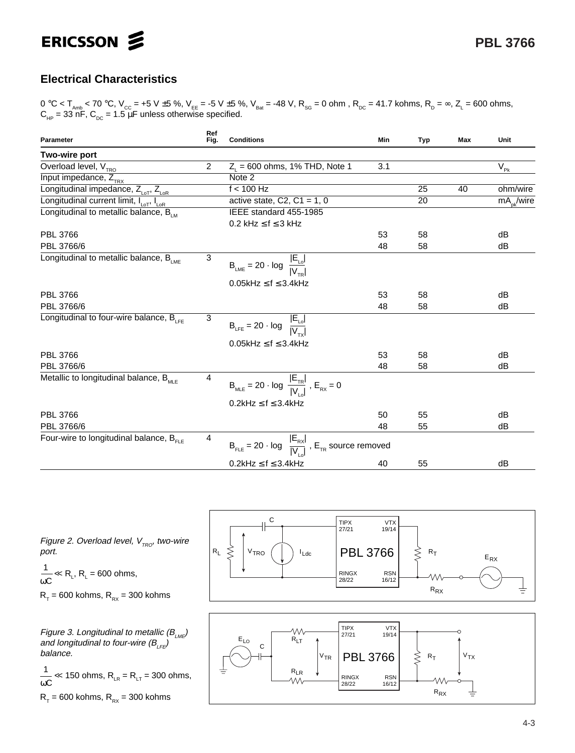

# **Electrical Characteristics**

0 °C < T<sub>amb</sub> < 70 °C, V<sub>cc</sub> = +5 V ±5 %, V<sub>EE</sub> = -5 V ±5 %, V<sub>Bat</sub> = -48 V, R<sub>sg</sub> = 0 ohm , R<sub>pc</sub> = 41.7 kohms, R<sub>p</sub> = ∞, Z<sub>L</sub> = 600 ohms,  $C_{_{HP}}$  = 33 nF,  $C_{_{DC}}$  = 1.5  $\mu$ F unless otherwise specified.

| Ref<br>Fig.<br><b>Conditions</b><br>Parameter                   |                | Min                                                                                                                                              | <b>Typ</b> | <b>Max</b> | Unit |                |
|-----------------------------------------------------------------|----------------|--------------------------------------------------------------------------------------------------------------------------------------------------|------------|------------|------|----------------|
| Two-wire port                                                   |                |                                                                                                                                                  |            |            |      |                |
| Overload level, V <sub>TRO</sub>                                | $\overline{2}$ | $Z_1 = 600$ ohms, 1% THD, Note 1                                                                                                                 | 3.1        |            |      | $V_{\rm pk}$   |
| Input impedance, $Z_{\text{TRX}}$                               |                | Note 2                                                                                                                                           |            |            |      |                |
| Longitudinal impedance, Z <sub>LOT</sub> , Z <sub>LOR</sub>     |                | $f < 100$ Hz                                                                                                                                     |            | 25         | 40   | ohm/wire       |
| Longitudinal current limit, I <sub>LOT</sub> , I <sub>LOR</sub> |                | active state, C2, C1 = 1, 0                                                                                                                      |            | 20         |      | $mA_{nk}/wire$ |
| Longitudinal to metallic balance, $B_{LM}$                      |                | IEEE standard 455-1985                                                                                                                           |            |            |      |                |
|                                                                 |                | $0.2$ kHz $\leq$ f $\leq$ 3 kHz                                                                                                                  |            |            |      |                |
| <b>PBL 3766</b>                                                 |                |                                                                                                                                                  | 53         | 58         |      | dB             |
| PBL 3766/6                                                      |                |                                                                                                                                                  | 48         | 58         |      | dB             |
| Longitudinal to metallic balance, $B_{LME}$                     | 3              | $B_{LME} = 20 \cdot log \frac{ E_{Lo} }{ V_{To} }$                                                                                               |            |            |      |                |
|                                                                 |                | $0.05$ kHz $\leq$ f $\leq$ 3.4kHz                                                                                                                |            |            |      |                |
| PBL 3766                                                        |                |                                                                                                                                                  | 53         | 58         |      | dB             |
| PBL 3766/6                                                      |                |                                                                                                                                                  | 48         | 58         |      | dB             |
| Longitudinal to four-wire balance, $B_{1FF}$                    | 3              | $B_{LFE} = 20 \cdot log \frac{ E_{Lo} }{ V_{av} }$                                                                                               |            |            |      |                |
|                                                                 |                | $0.05$ kHz $\leq$ f $\leq$ 3.4kHz                                                                                                                |            |            |      |                |
| PBL 3766                                                        |                |                                                                                                                                                  | 53         | 58         |      | dB             |
| PBL 3766/6                                                      |                |                                                                                                                                                  | 48         | 58         |      | dB             |
| Metallic to longitudinal balance, $B_{MSE}$                     | $\overline{4}$ | $\mathsf{B}_{_{\mathsf{MLE}}} = 20 \cdot \log \; \frac{ \mathsf{E}_{_{\mathsf{TR}}} }{ \mathsf{V}_{\cdot} }$ , $\mathsf{E}_{_{\mathsf{RX}}} = 0$ |            |            |      |                |
|                                                                 |                | $0.2$ kHz $\leq$ f $\leq$ 3.4kHz                                                                                                                 |            |            |      |                |
| <b>PBL 3766</b>                                                 |                |                                                                                                                                                  | 50         | 55         |      | dB             |
| PBL 3766/6                                                      |                |                                                                                                                                                  | 48         | 55         |      | dB             |
| Four-wire to longitudinal balance, $B_{\text{eff}}$             | 4              | $B_{FLE} = 20 \cdot log \frac{ E_{RX} }{ V }$ , $E_{TR}$ source removed                                                                          |            |            |      |                |
|                                                                 |                | $0.2$ kHz $\leq$ f $\leq$ 3.4kHz                                                                                                                 | 40         | 55         |      | dB             |



 $\frac{1}{\omega C} \ll R_L$ , R<sub>L</sub> = 600 ohms,

$$
R_T = 600 \text{ kohns}, R_{RX} = 300 \text{ kohns}
$$

Figure 3. Longitudinal to metallic (B<sub>LME</sub>) and longitudinal to four-wire (B<sub>LFE</sub>) balance.

 $\frac{1}{\omega C}$   $\ll$  150 ohms, R<sub>LR</sub> = R<sub>LT</sub> = 300 ohms,

 $R_T = 600$  kohms,  $R_{RX} = 300$  kohms



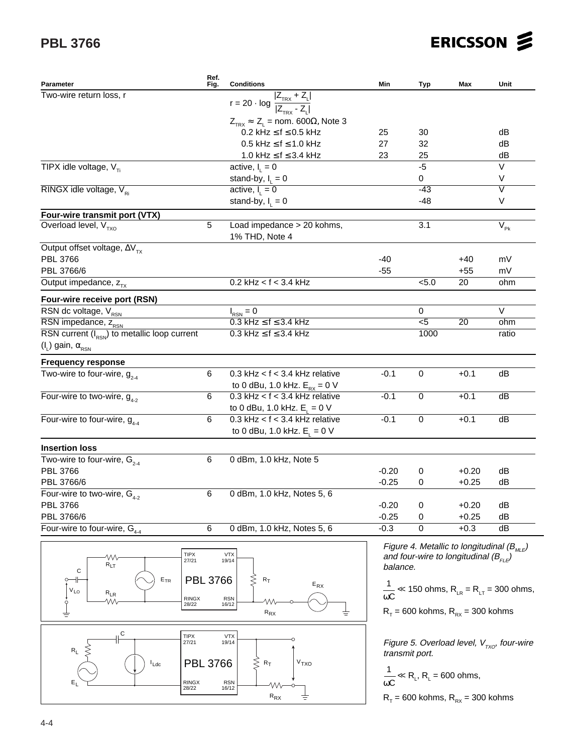# **PBL 3766**

| ERICSSON & |  |
|------------|--|
|------------|--|

| <b>Parameter</b>                                                                           | Ref.<br>Fig.          | <b>Conditions</b>                                  | Min      | Typ                                                       | Max                                              | Unit                                                                               |
|--------------------------------------------------------------------------------------------|-----------------------|----------------------------------------------------|----------|-----------------------------------------------------------|--------------------------------------------------|------------------------------------------------------------------------------------|
| Two-wire return loss, r<br>$r = 20 \cdot log \frac{ Z_{\text{TRX}} + Z_{L} }{ Z - Z_{L} }$ |                       |                                                    |          |                                                           |                                                  |                                                                                    |
|                                                                                            |                       |                                                    |          |                                                           |                                                  |                                                                                    |
|                                                                                            |                       | $Z_{TRX} \approx Z_L$ = nom. 600 $\Omega$ , Note 3 |          |                                                           |                                                  |                                                                                    |
|                                                                                            |                       | $0.2$ kHz $\leq$ f $\leq$ 0.5 kHz                  | 25       | 30                                                        |                                                  | dB                                                                                 |
|                                                                                            |                       | $0.5$ kHz $\leq$ f $\leq$ 1.0 kHz                  | 27       | 32                                                        |                                                  | dB                                                                                 |
|                                                                                            |                       | 1.0 kHz $\leq$ f $\leq$ 3.4 kHz                    | 23       | 25                                                        |                                                  | dB                                                                                 |
| TIPX idle voltage, $V_{\tau i}$                                                            |                       | active, $I_{i} = 0$                                |          | $-5$                                                      |                                                  | $\vee$                                                                             |
|                                                                                            |                       | stand-by, $I_1 = 0$                                |          | 0                                                         |                                                  | V                                                                                  |
| RINGX idle voltage, $V_{Ri}$                                                               |                       | active, $I_1 = 0$                                  |          | $-43$                                                     |                                                  | $\overline{\vee}$                                                                  |
|                                                                                            |                       | stand-by, $I_i = 0$                                |          | $-48$                                                     |                                                  | V                                                                                  |
| Four-wire transmit port (VTX)                                                              |                       |                                                    |          |                                                           |                                                  |                                                                                    |
| Overload level, $V_{TXO}$                                                                  | $\overline{5}$        | Load impedance > 20 kohms,                         |          | $\overline{3.1}$                                          |                                                  | $V_{\rm pk}$                                                                       |
|                                                                                            |                       | 1% THD, Note 4                                     |          |                                                           |                                                  |                                                                                    |
| Output offset voltage, $\Delta V_{\tau x}$                                                 |                       |                                                    |          |                                                           |                                                  |                                                                                    |
| PBL 3766                                                                                   |                       |                                                    | $-40$    |                                                           | $+40$                                            | mV                                                                                 |
| PBL 3766/6                                                                                 |                       |                                                    | $-55$    |                                                           | $+55$                                            | mV                                                                                 |
| Output impedance, $z_{\text{rx}}$                                                          |                       | $0.2$ kHz < $f$ < 3.4 kHz                          |          | < 5.0                                                     | 20                                               | ohm                                                                                |
| Four-wire receive port (RSN)                                                               |                       |                                                    |          |                                                           |                                                  |                                                                                    |
| RSN dc voltage, V <sub>RSN</sub>                                                           |                       | $I_{RSN} = 0$                                      |          | 0                                                         |                                                  | $\vee$                                                                             |
| RSN impedance, ZRSN                                                                        |                       | $0.3$ kHz $\leq$ f $\leq$ 3.4 kHz                  |          | $\overline{5}$                                            | 20                                               | ohm                                                                                |
| RSN current $(I_{RSN})$ to metallic loop current                                           |                       | $0.3$ kHz $\leq$ f $\leq$ 3.4 kHz                  |          | 1000                                                      |                                                  | ratio                                                                              |
| $(I_L)$ gain, $\alpha_{\rm RSN}$                                                           |                       |                                                    |          |                                                           |                                                  |                                                                                    |
|                                                                                            |                       |                                                    |          |                                                           |                                                  |                                                                                    |
| <b>Frequency response</b>                                                                  |                       |                                                    |          |                                                           |                                                  |                                                                                    |
| Two-wire to four-wire, $g_{2-4}$                                                           | 6                     | 0.3 kHz < $f$ < 3.4 kHz relative                   | $-0.1$   | $\mathbf 0$                                               | $+0.1$                                           | dB                                                                                 |
|                                                                                            |                       | to 0 dBu, 1.0 kHz. $E_{\text{ex}} = 0$ V           |          |                                                           |                                                  |                                                                                    |
| Four-wire to two-wire, $g_{4,2}$                                                           | 6                     | $0.3$ kHz < $f$ < 3.4 kHz relative                 | $-0.1$   | $\Omega$                                                  | $+0.1$                                           | dB                                                                                 |
|                                                                                            |                       | to 0 dBu, 1.0 kHz. $E_1 = 0$ V                     |          |                                                           |                                                  |                                                                                    |
| Four-wire to four-wire, $g_{4.4}$                                                          | 6                     | $0.3$ kHz < $f$ < 3.4 kHz relative                 | $-0.1$   | $\Omega$                                                  | $+0.1$                                           | dB                                                                                 |
|                                                                                            |                       | to 0 dBu, 1.0 kHz. $E_1 = 0$ V                     |          |                                                           |                                                  |                                                                                    |
| <b>Insertion loss</b>                                                                      |                       |                                                    |          |                                                           |                                                  |                                                                                    |
| Two-wire to four-wire, $G_{2,4}$                                                           | 6                     | 0 dBm, 1.0 kHz, Note 5                             |          |                                                           |                                                  |                                                                                    |
| <b>PBL 3766</b>                                                                            |                       |                                                    | $-0.20$  | 0                                                         | $+0.20$                                          | dB                                                                                 |
| PBL 3766/6                                                                                 |                       |                                                    | $-0.25$  | 0                                                         | $+0.25$                                          | dB                                                                                 |
| Four-wire to two-wire, $G_{4-2}$                                                           | 6                     | 0 dBm, 1.0 kHz, Notes 5, 6                         |          |                                                           |                                                  |                                                                                    |
| PBL 3766                                                                                   |                       |                                                    | $-0.20$  | 0                                                         | $+0.20$                                          | dB                                                                                 |
| PBL 3766/6                                                                                 |                       |                                                    | $-0.25$  | 0                                                         | $+0.25$                                          | dB                                                                                 |
| Four-wire to four-wire, $G_{4-4}$                                                          | 6                     | 0 dBm, 1.0 kHz, Notes 5, 6                         | $-0.3$   | 0                                                         | $+0.3$                                           | dB                                                                                 |
|                                                                                            |                       |                                                    |          |                                                           |                                                  |                                                                                    |
|                                                                                            |                       |                                                    |          |                                                           | Figure 4. Metallic to longitudinal ( $B_{MLE}$ ) |                                                                                    |
| W٧                                                                                         | <b>TIPX</b><br>27/21  | <b>VTX</b><br>19/14                                |          |                                                           | and four-wire to longitudinal $(B_{E/E})$        |                                                                                    |
| $R_{LT}$<br>C                                                                              |                       |                                                    | balance. |                                                           |                                                  |                                                                                    |
| $\mathsf{E}_{\mathsf{TR}}$<br>o                                                            | <b>PBL 3766</b>       | ⋚<br>$R_T$<br>$\mathsf{E}_{\mathsf{RX}}$           |          |                                                           |                                                  |                                                                                    |
| $\rm V_{LO}$<br>$R_{LR}$                                                                   |                       |                                                    |          |                                                           |                                                  | $\frac{1}{\omega C}$ $\ll$ 150 ohms, R <sub>LR</sub> = R <sub>LT</sub> = 300 ohms, |
| w<br>ò                                                                                     | <b>RINGX</b><br>28/22 | <b>RSN</b><br>16/12                                |          |                                                           |                                                  |                                                                                    |
| ŧ                                                                                          |                       | ${\sf R}_{\sf RX}$                                 |          |                                                           | $R_T$ = 600 kohms, $R_{RX}$ = 300 kohms          |                                                                                    |
| , C                                                                                        |                       |                                                    |          |                                                           |                                                  |                                                                                    |
| <b>TIPX</b>                                                                                | 27/21                 | <b>VTX</b><br>19/14                                |          |                                                           |                                                  | Figure 5. Overload level, $V_{\tau x0}$ , four-wire                                |
| $\mathsf{R}_\mathsf{L}$                                                                    |                       |                                                    |          | transmit port.                                            |                                                  |                                                                                    |
| $l_{Ldc}$                                                                                  | <b>PBL 3766</b>       | ξ<br>V <sub>TXO</sub><br>$R_T$                     |          |                                                           |                                                  |                                                                                    |
|                                                                                            |                       |                                                    |          | $\frac{1}{\omega C} \ll R_L$ , R <sub>L</sub> = 600 ohms, |                                                  |                                                                                    |
|                                                                                            | <b>RINGX</b><br>28/22 | <b>RSN</b><br>M<br>16/12                           |          |                                                           |                                                  |                                                                                    |
|                                                                                            |                       | $R_{RX}$                                           |          |                                                           | $R_T$ = 600 kohms, $R_{RX}$ = 300 kohms          |                                                                                    |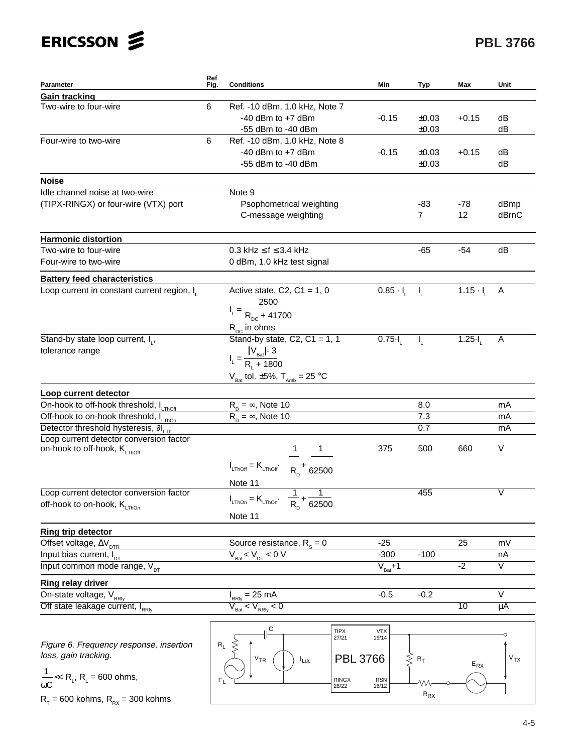# **PBL 3766**

| Parameter                                                                                    | Ref<br>Fig. | <b>Conditions</b>                                                                                   | Min                  | Typ              | Max                | Unit                       |
|----------------------------------------------------------------------------------------------|-------------|-----------------------------------------------------------------------------------------------------|----------------------|------------------|--------------------|----------------------------|
| <b>Gain tracking</b>                                                                         |             |                                                                                                     |                      |                  |                    |                            |
| Two-wire to four-wire                                                                        | 6           | Ref. - 10 dBm, 1.0 kHz, Note 7                                                                      |                      |                  |                    |                            |
|                                                                                              |             | $-40$ dBm to $+7$ dBm                                                                               | $-0.15$              | ±0.03            | $+0.15$            | dB                         |
|                                                                                              |             | -55 dBm to -40 dBm                                                                                  |                      | ±0.03            |                    | dB                         |
| Four-wire to two-wire                                                                        | 6           | Ref. - 10 dBm, 1.0 kHz, Note 8                                                                      |                      |                  |                    |                            |
|                                                                                              |             | $-40$ dBm to $+7$ dBm                                                                               | $-0.15$              | ±0.03            | $+0.15$            | dB                         |
|                                                                                              |             | -55 dBm to -40 dBm                                                                                  |                      | ±0.03            |                    | dB                         |
| <b>Noise</b>                                                                                 |             |                                                                                                     |                      |                  |                    |                            |
| Idle channel noise at two-wire                                                               |             | Note 9                                                                                              |                      |                  |                    |                            |
| (TIPX-RINGX) or four-wire (VTX) port                                                         |             | Psophometrical weighting                                                                            |                      | -83              | $-78$              | dBmp                       |
|                                                                                              |             | C-message weighting                                                                                 |                      | $\overline{7}$   | 12                 | dBrnC                      |
| <b>Harmonic distortion</b>                                                                   |             |                                                                                                     |                      |                  |                    |                            |
| Two-wire to four-wire                                                                        |             | 0.3 kHz $\leq$ f $\leq$ 3.4 kHz                                                                     |                      | -65              | $-54$              | dB                         |
| Four-wire to two-wire                                                                        |             | 0 dBm, 1.0 kHz test signal                                                                          |                      |                  |                    |                            |
| <b>Battery feed characteristics</b>                                                          |             |                                                                                                     |                      |                  |                    |                            |
| Loop current in constant current region, I                                                   |             | Active state, C2, C1 = $1, 0$                                                                       | $0.85 - I$           | $-1$             | $1.15 \cdot I_{1}$ | Α                          |
|                                                                                              |             | 2500                                                                                                |                      |                  |                    |                            |
|                                                                                              |             | $I_L = \frac{R_{DC} + 41700}{R_{DC} + 41700}$                                                       |                      |                  |                    |                            |
|                                                                                              |             | $R_{\rm nc}$ in ohms                                                                                |                      |                  |                    |                            |
| Stand-by state loop current, I <sub>1</sub> ,                                                |             | Stand-by state, $C2$ , $C1 = 1$ , 1                                                                 | $0.75 -$             | I <sub>L</sub>   | $1.25 -$           | Α                          |
| tolerance range                                                                              |             |                                                                                                     |                      |                  |                    |                            |
|                                                                                              |             | $I_{L} = \frac{ V_{Bat} }{R_{L} + 1800}$                                                            |                      |                  |                    |                            |
|                                                                                              |             | $V_{\text{Bat}}$ tol. ±5%, $T_{\text{Amb}} = 25 \text{ °C}$                                         |                      |                  |                    |                            |
|                                                                                              |             |                                                                                                     |                      |                  |                    |                            |
| Loop current detector                                                                        |             |                                                                                                     |                      |                  |                    |                            |
| On-hook to off-hook threshold, ILThoff                                                       |             | $R_p = \infty$ , Note 10                                                                            |                      | 8.0<br>7.3       |                    | mA                         |
| Off-hook to on-hook threshold, ILThon                                                        |             | $R_{\text{n}} = \infty$ , Note 10                                                                   |                      | 0.7              |                    | mA<br>mA                   |
| Detector threshold hysteresis, $\partial I_{LTh}$<br>Loop current detector conversion factor |             |                                                                                                     |                      |                  |                    |                            |
| on-hook to off-hook, K <sub>LThOff</sub>                                                     |             | $1 \quad \blacksquare$                                                                              | 375                  | 500              | 660                | V                          |
|                                                                                              |             | $I_{LThOff} = K_{LThOff}$ $\begin{bmatrix} R_n^+ & 62500 \end{bmatrix}$                             |                      |                  |                    |                            |
|                                                                                              |             | Note 11                                                                                             |                      |                  |                    |                            |
| Loop current detector conversion factor                                                      |             |                                                                                                     |                      | 455              |                    | V                          |
| off-hook to on-hook, KLThOn                                                                  |             | $I_{\text{LThOn}} = K_{\text{LThOn}} \cdot \left[ \frac{1}{R_{\text{D}}} + \frac{1}{62500} \right]$ |                      |                  |                    |                            |
|                                                                                              |             | Note 11                                                                                             |                      |                  |                    |                            |
| <b>Ring trip detector</b>                                                                    |             |                                                                                                     |                      |                  |                    |                            |
| Offset voltage, $\Delta V_{\text{DTR}}$                                                      |             | Source resistance, $R_s = 0$                                                                        | $-25$                |                  | 25                 | mV                         |
| Input bias current, I <sub>DT</sub>                                                          |             | $V_{\text{Bat}}$ < $V_{\text{DT}}$ < 0 V                                                            | $-300$               | $-100$           |                    | nA                         |
| Input common mode range, V <sub>pt</sub>                                                     |             |                                                                                                     | $V_{\text{Bat}} + 1$ |                  | $-2$               | $\overline{\mathsf{v}}$    |
| Ring relay driver                                                                            |             |                                                                                                     |                      |                  |                    |                            |
| On-state voltage, V <sub>RRIV</sub>                                                          |             | $I_{RRly} = 25 \text{ mA}$                                                                          | $-0.5$               | $-0.2$           |                    | $\vee$                     |
| Off state leakage current, IRRIV                                                             |             | $\rm V_{_{Bat}}$ < $\rm V_{_{RRly}}$ < 0                                                            |                      |                  | 10                 | $\mu$ A                    |
|                                                                                              |             |                                                                                                     |                      |                  |                    |                            |
|                                                                                              |             | C<br>TIPX<br>27/21                                                                                  | ${\sf VTX}$<br>19/14 |                  |                    |                            |
| Figure 6. Frequency response, insertion                                                      | $R_L$       |                                                                                                     |                      |                  |                    |                            |
| loss, gain tracking.                                                                         |             | $V_{TR}$<br>$L_{\text{d}c}$                                                                         | PBL 3766             | $R_T$            | $E_{RX}$           | $\mathsf{v}_{\mathsf{TX}}$ |
|                                                                                              |             |                                                                                                     |                      |                  |                    |                            |
| $\frac{1}{\omega C} \ll R_L$ , R <sub>L</sub> = 600 ohms,                                    |             | RINGX<br>28/22                                                                                      | <b>RSN</b><br>16/12  |                  |                    |                            |
| $R_T$ = 600 kohms, $R_{RX}$ = 300 kohms                                                      |             |                                                                                                     |                      | $\rm R_{\rm RX}$ |                    |                            |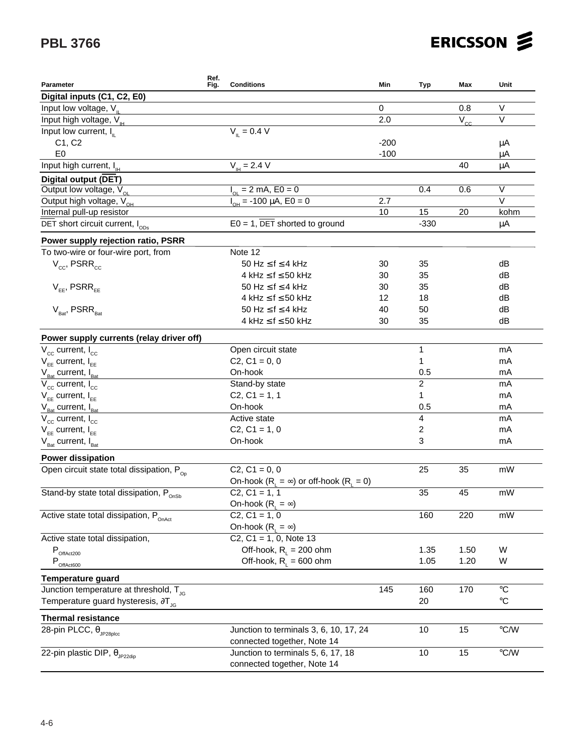# **PBL 3766**

| ERICSSON Z |  |
|------------|--|
|------------|--|

| Parameter                                                       | Ref.<br>Fig. | <b>Conditions</b>                                | Min         | <b>Typ</b>              | Max      | Unit                    |
|-----------------------------------------------------------------|--------------|--------------------------------------------------|-------------|-------------------------|----------|-------------------------|
| Digital inputs (C1, C2, E0)                                     |              |                                                  |             |                         |          |                         |
| Input low voltage, $V_{\parallel}$                              |              |                                                  | $\mathbf 0$ |                         | 0.8      | V                       |
| Input high voltage, V <sub>IH</sub>                             |              |                                                  | 2.0         |                         | $V_{cc}$ | $\vee$                  |
| Input low current, $I_{\text{II}}$                              |              | $V_{\text{H}} = 0.4 V$                           |             |                         |          |                         |
| C1, C2                                                          |              |                                                  | $-200$      |                         |          | μA                      |
| E <sub>0</sub>                                                  |              |                                                  | $-100$      |                         |          | μA                      |
| Input high current, I <sub>H</sub>                              |              | $V_{\mu} = 2.4 V$                                |             |                         | 40       | μA                      |
| <b>Digital output (DET)</b>                                     |              |                                                  |             |                         |          |                         |
| Output low voltage, $V_{OL}$                                    |              | $I_{\text{ou}} = 2 \text{ mA}$ , E0 = 0          |             | 0.4                     | 0.6      | $\overline{\vee}$       |
| Output high voltage, $V_{\alpha}$                               |              | $I_{\text{ou}}$ = -100 µA, E0 = 0                | 2.7         |                         |          | $\overline{\mathsf{V}}$ |
| Internal pull-up resistor                                       |              |                                                  | 10          | 15                      | 20       | kohm                    |
| $\overline{\text{DET}}$ short circuit current, $I_{\text{ODs}}$ |              | $E0 = 1$ , DET shorted to ground                 |             | $-330$                  |          | μA                      |
| Power supply rejection ratio, PSRR                              |              |                                                  |             |                         |          |                         |
| To two-wire or four-wire port, from                             |              | Note 12                                          |             |                         |          |                         |
| $V_{cc}$ , PSRR $_{cc}$                                         |              | 50 Hz $\leq$ f $\leq$ 4 kHz                      | 30          | 35                      |          | dB                      |
|                                                                 |              | 4 kHz $\leq$ f $\leq$ 50 kHz                     | 30          | 35                      |          | dB                      |
| $V_{FF}$ , PSRR $_{FF}$                                         |              | 50 Hz $\leq$ f $\leq$ 4 kHz                      | 30          | 35                      |          | dB                      |
|                                                                 |              | 4 kHz $\leq$ f $\leq$ 50 kHz                     | 12          | 18                      |          | dB                      |
| $V_{\text{Rat}}$ , PSRR $_{\text{Rat}}$                         |              | 50 Hz $\leq$ f $\leq$ 4 kHz                      | 40          | 50                      |          | dB                      |
|                                                                 |              | 4 kHz $\leq$ f $\leq$ 50 kHz                     | 30          | 35                      |          | dB                      |
| Power supply currents (relay driver off)                        |              |                                                  |             |                         |          |                         |
| $V_{cc}$ current, $I_{cc}$                                      |              | Open circuit state                               |             | 1                       |          | mA                      |
| $V_{EF}$ current, $I_{EF}$                                      |              | $C2, C1 = 0, 0$                                  |             | 1                       |          | mA                      |
| $V_{\text{Bat}}$ current, $I_{\text{Bat}}$                      |              | On-hook                                          |             | 0.5                     |          | mA                      |
| $V_{cc}$ current, $I_{cc}$                                      |              | Stand-by state                                   |             | $\overline{c}$          |          | mA                      |
| $V_{FE}$ current, $I_{EF}$                                      |              | $C2, C1 = 1, 1$                                  |             | 1                       |          | mA                      |
| $V_{\text{Bat}}$ current, $I_{\text{Bat}}$                      |              | On-hook                                          |             | 0.5                     |          | mA                      |
| $V_{cc}$ current, $I_{cc}$                                      |              | Active state                                     |             | $\overline{\mathbf{4}}$ |          | mA                      |
| $V_{FE}$ current, $I_{EF}$                                      |              | $C2, C1 = 1, 0$                                  |             | 2                       |          | mA                      |
| $V_{\text{Bat}}$ current, $I_{\text{Bat}}$                      |              | On-hook                                          |             | 3                       |          | mA                      |
| <b>Power dissipation</b>                                        |              |                                                  |             |                         |          |                         |
| Open circuit state total dissipation, $P_{\text{on}}$           |              | $C2, C1 = 0, 0$                                  |             | 25                      | 35       | mW                      |
|                                                                 |              | On-hook $(R_1 = \infty)$ or off-hook $(R_1 = 0)$ |             |                         |          |                         |
| Stand-by state total dissipation, Ponsh                         |              | $C2, C1 = 1, 1$                                  |             | 35                      | 45       | mW                      |
|                                                                 |              | On-hook $(R_1 = \infty)$                         |             |                         |          |                         |
| Active state total dissipation, P <sub>onAct</sub>              |              | $C2, C1 = 1, 0$                                  |             | 160                     | 220      | mW                      |
|                                                                 |              | On-hook $(R_1 = \infty)$                         |             |                         |          |                         |
| Active state total dissipation,                                 |              | $C2, C1 = 1, 0, Note 13$                         |             |                         |          |                         |
| $P_{\text{OffAct200}}$                                          |              | Off-hook, $R_{i} = 200$ ohm                      |             | 1.35                    | 1.50     | W                       |
| $P_{\text{OffAct}600}$                                          |              | Off-hook, $R_{L} = 600$ ohm                      |             | 1.05                    | 1.20     | W                       |
| <b>Temperature guard</b>                                        |              |                                                  |             |                         |          |                         |
| Junction temperature at threshold, $T_{\text{IG}}$              |              |                                                  | 145         | 160                     | 170      | $^{\circ}C$             |
| Temperature guard hysteresis, $\partial T_{JG}$                 |              |                                                  |             | 20                      |          | $\rm ^{\circ}C$         |
| <b>Thermal resistance</b>                                       |              |                                                  |             |                         |          |                         |
| 28-pin PLCC, θ <sub>JP28plcc</sub>                              |              | Junction to terminals 3, 6, 10, 17, 24           |             | 10                      | 15       | $\mathrm{C}/\mathrm{W}$ |
|                                                                 |              | connected together, Note 14                      |             |                         |          |                         |
| 22-pin plastic DIP, $\theta_{JP22div}$                          |              | Junction to terminals 5, 6, 17, 18               |             | 10                      | 15       | $\mathrm{C}/\mathrm{W}$ |
|                                                                 |              | connected together, Note 14                      |             |                         |          |                         |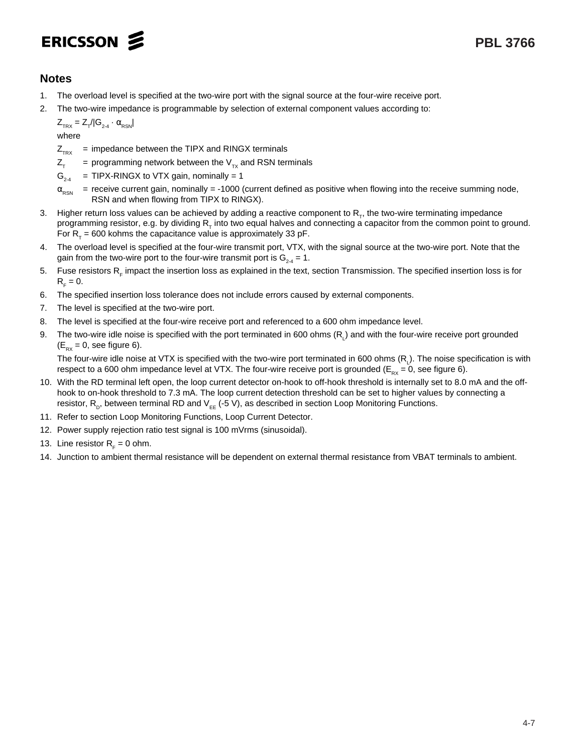# ERICSSON 2

# **Notes**

- 1. The overload level is specified at the two-wire port with the signal source at the four-wire receive port.
- 2. The two-wire impedance is programmable by selection of external component values according to:

 $Z_{TRX} = Z_{T}/|G_{2.4} \cdot \alpha_{RSN}|$ where

 $Z_{TRX}$  = impedance between the TIPX and RINGX terminals

- $Z_{\tau}$  = programming network between the  $V_{\tau x}$  and RSN terminals
- $G_{24}$  = TIPX-RINGX to VTX gain, nominally = 1
- $\alpha_{\rm{RSN}}$  = receive current gain, nominally = -1000 (current defined as positive when flowing into the receive summing node, RSN and when flowing from TIPX to RINGX).
- 3. Higher return loss values can be achieved by adding a reactive component to R<sub>r</sub>, the two-wire terminating impedance programming resistor, e.g. by dividing  $R<sub>z</sub>$  into two equal halves and connecting a capacitor from the common point to ground. For  $R<sub>z</sub> = 600$  kohms the capacitance value is approximately 33 pF.
- 4. The overload level is specified at the four-wire transmit port, VTX, with the signal source at the two-wire port. Note that the gain from the two-wire port to the four-wire transmit port is  $G_{24} = 1$ .
- 5. Fuse resistors  $R<sub>e</sub>$  impact the insertion loss as explained in the text, section Transmission. The specified insertion loss is for  $R<sub>c</sub> = 0.$
- 6. The specified insertion loss tolerance does not include errors caused by external components.
- 7. The level is specified at the two-wire port.
- 8. The level is specified at the four-wire receive port and referenced to a 600 ohm impedance level.
- 9. The two-wire idle noise is specified with the port terminated in 600 ohms (R<sub>L</sub>) and with the four-wire receive port grounded  $(E_{px} = 0$ , see figure 6).

The four-wire idle noise at VTX is specified with the two-wire port terminated in 600 ohms (R<sub>L</sub>). The noise specification is with respect to a 600 ohm impedance level at VTX. The four-wire receive port is grounded ( $E_{Rx}$  = 0, see figure 6).

- 10. With the RD terminal left open, the loop current detector on-hook to off-hook threshold is internally set to 8.0 mA and the offhook to on-hook threshold to 7.3 mA. The loop current detection threshold can be set to higher values by connecting a resistor,  $R_{D}$ , between terminal RD and  $V_{EF}$  (-5 V), as described in section Loop Monitoring Functions.
- 11. Refer to section Loop Monitoring Functions, Loop Current Detector.
- 12. Power supply rejection ratio test signal is 100 mVrms (sinusoidal).
- 13. Line resistor  $R<sub>F</sub> = 0$  ohm.
- 14. Junction to ambient thermal resistance will be dependent on external thermal resistance from VBAT terminals to ambient.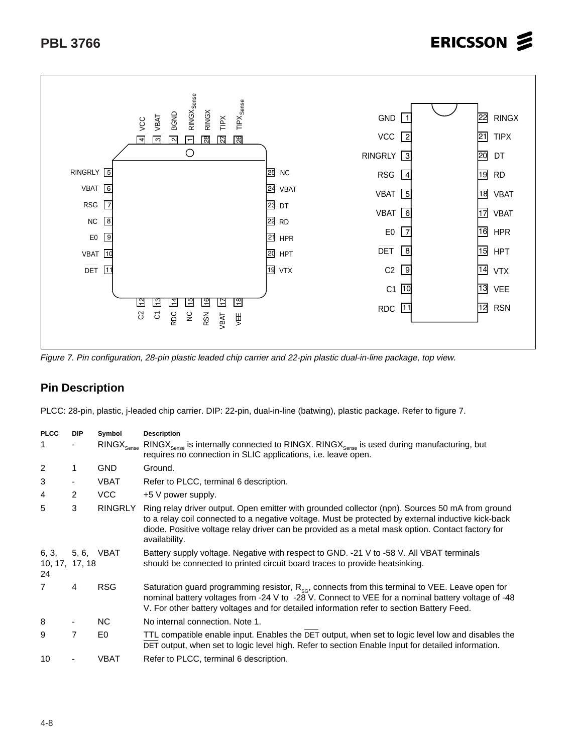

Figure 7. Pin configuration, 28-pin plastic leaded chip carrier and 22-pin plastic dual-in-line package, top view.

## **Pin Description**

PLCC: 28-pin, plastic, j-leaded chip carrier. DIP: 22-pin, dual-in-line (batwing), plastic package. Refer to figure 7.

| <b>PLCC</b>                   | <b>DIP</b>               | Symbol                          | <b>Description</b>                                                                                                                                                                                                                                                                                                         |
|-------------------------------|--------------------------|---------------------------------|----------------------------------------------------------------------------------------------------------------------------------------------------------------------------------------------------------------------------------------------------------------------------------------------------------------------------|
| 1                             | $\overline{\phantom{0}}$ | $\mathsf{RINGX}_\mathsf{Sense}$ | $RINGX_{\text{Sense}}$ is internally connected to RINGX. RINGX <sub>Sense</sub> is used during manufacturing, but<br>requires no connection in SLIC applications, <i>i.e.</i> leave open.                                                                                                                                  |
| 2                             |                          | <b>GND</b>                      | Ground.                                                                                                                                                                                                                                                                                                                    |
| 3                             | ۰                        | <b>VBAT</b>                     | Refer to PLCC, terminal 6 description.                                                                                                                                                                                                                                                                                     |
| 4                             | $\overline{2}$           | VCC                             | +5 V power supply.                                                                                                                                                                                                                                                                                                         |
| 5                             | 3                        | <b>RINGRLY</b>                  | Ring relay driver output. Open emitter with grounded collector (npn). Sources 50 mA from ground<br>to a relay coil connected to a negative voltage. Must be protected by external inductive kick-back<br>diode. Positive voltage relay driver can be provided as a metal mask option. Contact factory for<br>availability. |
| 6, 3,<br>10, 17, 17, 18<br>24 |                          | 5, 6, VBAT                      | Battery supply voltage. Negative with respect to GND. -21 V to -58 V. All VBAT terminals<br>should be connected to printed circuit board traces to provide heatsinking.                                                                                                                                                    |
| 7                             | 4                        | <b>RSG</b>                      | Saturation guard programming resistor, $R_{\text{sc}}$ , connects from this terminal to VEE. Leave open for<br>nominal battery voltages from -24 V to -28 V. Connect to VEE for a nominal battery voltage of -48<br>V. For other battery voltages and for detailed information refer to section Battery Feed.              |
| 8                             |                          | NC.                             | No internal connection. Note 1.                                                                                                                                                                                                                                                                                            |
| 9                             | 7                        | E0                              | TTL compatible enable input. Enables the DET output, when set to logic level low and disables the<br>DET output, when set to logic level high. Refer to section Enable Input for detailed information.                                                                                                                     |
| 10                            |                          | VBAT                            | Refer to PLCC, terminal 6 description.                                                                                                                                                                                                                                                                                     |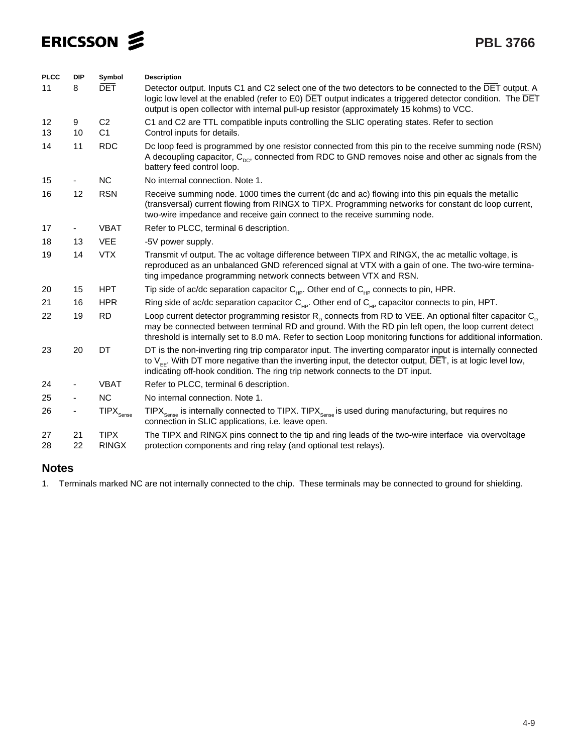| <b>PLCC</b> | <b>DIP</b>     | Symbol                           | <b>Description</b>                                                                                                                                                                                                                                                                                                                         |
|-------------|----------------|----------------------------------|--------------------------------------------------------------------------------------------------------------------------------------------------------------------------------------------------------------------------------------------------------------------------------------------------------------------------------------------|
| 11          | 8              | <b>DET</b>                       | Detector output. Inputs C1 and C2 select one of the two detectors to be connected to the DET output. A<br>logic low level at the enabled (refer to E0) DET output indicates a triggered detector condition. The DET<br>output is open collector with internal pull-up resistor (approximately 15 kohms) to VCC.                            |
| 12<br>13    | 9<br>10        | C <sub>2</sub><br>C <sub>1</sub> | C1 and C2 are TTL compatible inputs controlling the SLIC operating states. Refer to section<br>Control inputs for details.                                                                                                                                                                                                                 |
| 14          | 11             | <b>RDC</b>                       | Dc loop feed is programmed by one resistor connected from this pin to the receive summing node (RSN)<br>A decoupling capacitor, $C_{\text{nc}}$ , connected from RDC to GND removes noise and other ac signals from the<br>battery feed control loop.                                                                                      |
| 15          |                | NC                               | No internal connection. Note 1.                                                                                                                                                                                                                                                                                                            |
| 16          | 12             | <b>RSN</b>                       | Receive summing node. 1000 times the current (dc and ac) flowing into this pin equals the metallic<br>(transversal) current flowing from RINGX to TIPX. Programming networks for constant dc loop current,<br>two-wire impedance and receive gain connect to the receive summing node.                                                     |
| 17          |                | <b>VBAT</b>                      | Refer to PLCC, terminal 6 description.                                                                                                                                                                                                                                                                                                     |
| 18          | 13             | <b>VEE</b>                       | -5V power supply.                                                                                                                                                                                                                                                                                                                          |
| 19          | 14             | <b>VTX</b>                       | Transmit vf output. The ac voltage difference between TIPX and RINGX, the ac metallic voltage, is<br>reproduced as an unbalanced GND referenced signal at VTX with a gain of one. The two-wire termina-<br>ting impedance programming network connects between VTX and RSN.                                                                |
| 20          | 15             | <b>HPT</b>                       | Tip side of ac/dc separation capacitor $C_{\mu\nu}$ . Other end of $C_{\mu\nu}$ connects to pin, HPR.                                                                                                                                                                                                                                      |
| 21          | 16             | <b>HPR</b>                       | Ring side of ac/dc separation capacitor $C_{\mu\nu}$ . Other end of $C_{\mu\nu}$ capacitor connects to pin, HPT.                                                                                                                                                                                                                           |
| 22          | 19             | <b>RD</b>                        | Loop current detector programming resistor $R_p$ connects from RD to VEE. An optional filter capacitor $C_p$<br>may be connected between terminal RD and ground. With the RD pin left open, the loop current detect<br>threshold is internally set to 8.0 mA. Refer to section Loop monitoring functions for additional information.       |
| 23          | 20             | DT                               | DT is the non-inverting ring trip comparator input. The inverting comparator input is internally connected<br>to $V_{\text{EF}}$ . With DT more negative than the inverting input, the detector output, $\overline{\text{DET}}$ , is at logic level low,<br>indicating off-hook condition. The ring trip network connects to the DT input. |
| 24          |                | <b>VBAT</b>                      | Refer to PLCC, terminal 6 description.                                                                                                                                                                                                                                                                                                     |
| 25          | $\blacksquare$ | <b>NC</b>                        | No internal connection. Note 1.                                                                                                                                                                                                                                                                                                            |
| 26          |                | $\mathsf{TIPX}_{\mathsf{Sense}}$ | TIP $X_{\text{Sense}}$ is internally connected to TIPX. TIPX <sub>Sense</sub> is used during manufacturing, but requires no<br>connection in SLIC applications, i.e. leave open.                                                                                                                                                           |
| 27<br>28    | 21<br>22       | <b>TIPX</b><br><b>RINGX</b>      | The TIPX and RINGX pins connect to the tip and ring leads of the two-wire interface via overvoltage<br>protection components and ring relay (and optional test relays).                                                                                                                                                                    |

## **Notes**

1. Terminals marked NC are not internally connected to the chip. These terminals may be connected to ground for shielding.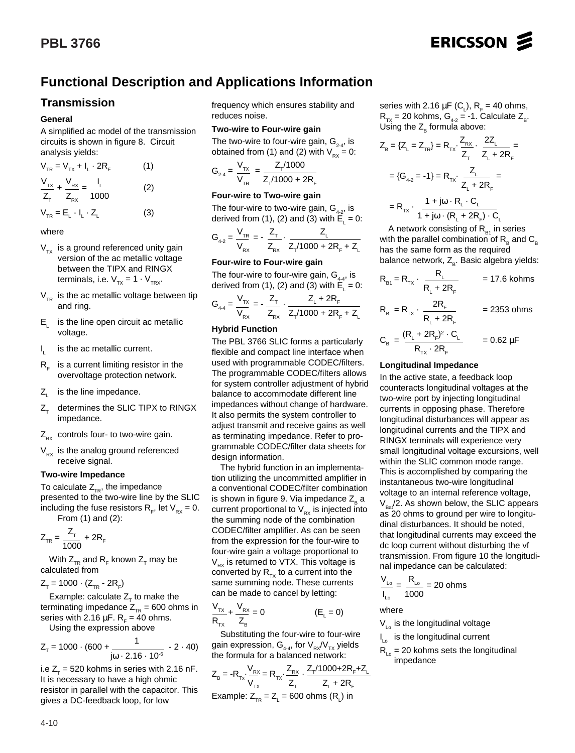# **Functional Description and Applications Information**

### **Transmission**

#### **General**

A simplified ac model of the transmission circuits is shown in figure 8. Circuit analysis yields:

$$
V_{TR} = V_{TX} + I_{L} \cdot 2R_{F}
$$
 (1)  

$$
\frac{V_{TX}}{Z_{T}} + \frac{V_{RX}}{Z_{RX}} = \frac{I_{L}}{1000}
$$
 (2)

$$
V_{TR} = E_{L} - I_{L} \cdot Z_{L}
$$
 (3)

#### where

- $V_{TX}$  is a ground referenced unity gain version of the ac metallic voltage between the TIPX and RINGX terminals, i.e.  $V_{TX} = 1 \cdot V_{TRX}$ .
- $V_{TR}$  is the ac metallic voltage between tip and ring.
- $E_i$  is the line open circuit ac metallic voltage.
- I is the ac metallic current.
- $R<sub>r</sub>$  is a current limiting resistor in the overvoltage protection network.
- $Z_i$  is the line impedance.
- $Z_{\tau}$  determines the SLIC TIPX to RINGX impedance.
- $Z_{\text{Rx}}$  controls four- to two-wire gain.
- $V_{Rx}$  is the analog ground referenced receive signal.

#### **Two-wire Impedance**

To calculate  $Z_{TR}$ , the impedance presented to the two-wire line by the SLIC including the fuse resistors  $R_{F}$ , let  $V_{px} = 0$ . From (1) and (2):

$$
Z_{TR} = \frac{Z_{T}}{1000} + 2R_{F}
$$

With  $Z_{TR}$  and  $R_{F}$  known  $Z_{T}$  may be calculated from

 $Z_{\text{T}} = 1000 \cdot (Z_{\text{TR}} - 2R_{\text{F}})$ 

Example: calculate  $Z<sub>r</sub>$  to make the terminating impedance  $Z_{TR}$  = 600 ohms in series with 2.16  $\mu$ F. R<sub>F</sub> = 40 ohms.

Using the expression above

$$
Z_{\tau} = 1000 \cdot (600 + \frac{1}{j\omega \cdot 2.16 \cdot 10^{-6}} - 2 \cdot 40)
$$

i.e  $Z_{\tau}$  = 520 kohms in series with 2.16 nF. It is necessary to have a high ohmic resistor in parallel with the capacitor. This gives a DC-feedback loop, for low

frequency which ensures stability and reduces noise.

#### **Two-wire to Four-wire gain**

The two-wire to four-wire gain,  $G_{2,4}$ , is obtained from (1) and (2) with  $V_{px} = 0$ :

$$
G_{2-4} = \frac{V_{Tx}}{V_{TR}} = \frac{Z_{T}/1000}{Z_{T}/1000 + 2R_{F}}
$$

#### **Four-wire to Two-wire gain**

The four-wire to two-wire gain,  $G_{4-2}$ , is derived from (1), (2) and (3) with  $\mathsf{E}_{\mathsf{L}}^{}$  = 0:

$$
G_{4-2} = \frac{V_{TR}}{V_{Rx}} = -\frac{Z_{T}}{Z_{Rx}} \cdot \frac{Z_{L}}{Z_{T}/1000 + 2R_{F} + Z_{L}}
$$

#### **Four-wire to Four-wire gain**

The four-wire to four-wire gain,  $G_{4-4}$ , is derived from (1), (2) and (3) with  $\mathsf{E}_{\mathsf{L}}^{}$  = 0:

$$
G_{4\text{-}4} = \frac{V_{\text{TX}}}{V_{\text{RX}}} = -\frac{Z_{\text{T}}}{Z_{\text{RX}}}\cdot\frac{Z_{\text{L}} + 2R_{\text{F}}}{Z_{\text{T}}/1000 + 2R_{\text{F}} + Z_{\text{L}}}
$$

#### **Hybrid Function**

The PBL 3766 SLIC forms a particularly flexible and compact line interface when used with programmable CODEC/filters. The programmable CODEC/filters allows for system controller adjustment of hybrid balance to accommodate different line impedances without change of hardware. It also permits the system controller to adjust transmit and receive gains as well as terminating impedance. Refer to programmable CODEC/filter data sheets for design information.

The hybrid function in an implementation utilizing the uncommitted amplifier in a conventional CODEC/filter combination is shown in figure 9. Via impedance  $Z<sub>e</sub>$  a current proportional to  $V_{RX}$  is injected into the summing node of the combination CODEC/filter amplifier. As can be seen from the expression for the four-wire to four-wire gain a voltage proportional to  $V_{Rx}$  is returned to VTX. This voltage is converted by  $R_{Tx}$  to a current into the same summing node. These currents can be made to cancel by letting:

$$
\frac{V_{TX}}{R_{TX}} + \frac{V_{RX}}{Z_B} = 0
$$
 (E<sub>L</sub> = 0)

Substituting the four-wire to four-wire gain expression,  $G_{4-4}$ , for  $V_{RX}/V_{TX}$  yields the formula for a balanced network:

$$
Z_{B} = -R_{Tx} \frac{V_{RX}}{V_{Tx}} = R_{Tx} \frac{Z_{RX}}{Z_{T}} - \frac{Z_{T}/1000 + 2R_{F} + Z_{L}}{Z_{L} + 2R_{F}}
$$
  
Example:  $Z_{TR} = Z_{L} = 600 \text{ ohms (RL) in}$ 

series with 2.16  $\mu$ F (C<sub>L</sub>), R<sub>F</sub> = 40 ohms,  $R_{TX}$  = 20 kohms,  $G_{42}$  = -1. Calculate  $Z_{B}$ . Using the  $Z_B$  formula above:

ERICSSON 2

$$
Z_{B} = \{Z_{L} = Z_{TR}\} = R_{TX} \cdot \frac{Z_{RX}}{Z_{T}} \cdot \frac{2Z_{L}}{Z_{L} + 2R_{F}} =
$$

$$
= \{G_{4\cdot 2} = -1\} = R_{TX} \cdot \frac{Z_{L}}{Z_{L} + 2R_{F}} =
$$

$$
= R_{TX} \cdot \frac{1 + j\omega \cdot R_{L} \cdot C_{L}}{1 + j\omega \cdot (R_{L} + 2R_{F}) \cdot C_{L}}
$$

A network consisting of  $R_{B1}$  in series with the parallel combination of  $R_B$  and  $C_B$ has the same form as the required balance network, Z<sub>p</sub>. Basic algebra yields:

$$
R_{\text{B1}} = R_{\text{TX}} \cdot \frac{R_{\text{L}}}{R_{\text{L}} + 2R_{\text{F}}} = 17.6 \text{ kohms}
$$

$$
R_{\rm B} = R_{\rm Tx} \cdot \frac{2R_{\rm F}}{R_{\rm L} + 2R_{\rm F}} = 2353 \text{ ohms}
$$

$$
C_{\rm B} = \frac{(R_{\rm L} + 2R_{\rm F})^2 \cdot C_{\rm L}}{R_{\rm rx} \cdot 2R_{\rm F}} = 0.62 \,\mu\text{F}
$$

#### **Longitudinal Impedance**

In the active state, a feedback loop counteracts longitudinal voltages at the two-wire port by injecting longitudinal currents in opposing phase. Therefore longitudinal disturbances will appear as longitudinal currents and the TIPX and RINGX terminals will experience very small longitudinal voltage excursions, well within the SLIC common mode range. This is accomplished by comparing the instantaneous two-wire longitudinal voltage to an internal reference voltage,  $V_{\text{B}}/2$ . As shown below, the SLIC appears as 20 ohms to ground per wire to longitudinal disturbances. It should be noted, that longitudinal currents may exceed the dc loop current without disturbing the vf transmission. From figure 10 the longitudinal impedance can be calculated:

$$
\frac{V_{\text{Lo}}}{I_{\text{Lo}}} = \frac{R_{\text{Lo}}}{1000} = 20 \text{ ohms}
$$

where

 $V_{\text{L}_0}$  is the longitudinal voltage

I<sub>Lo</sub> is the longitudinal current

 $R_{L_0}$  = 20 kohms sets the longitudinal impedance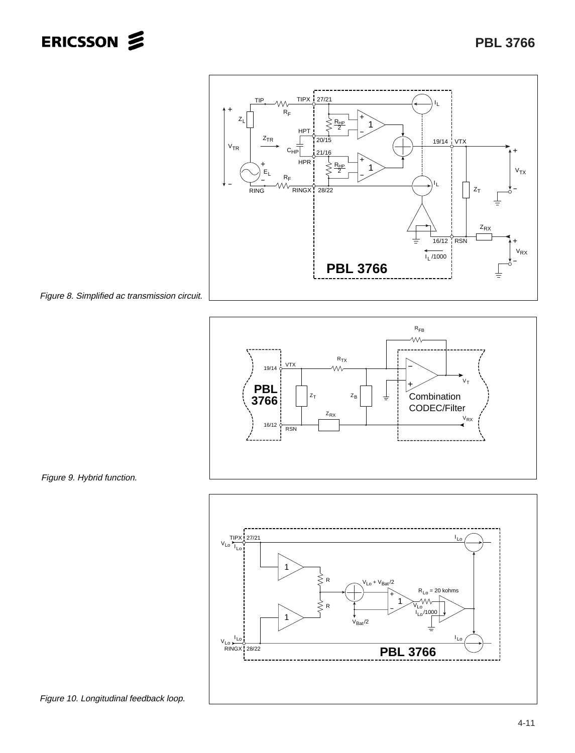







Figure 9. Hybrid function.

Figure 10. Longitudinal feedback loop.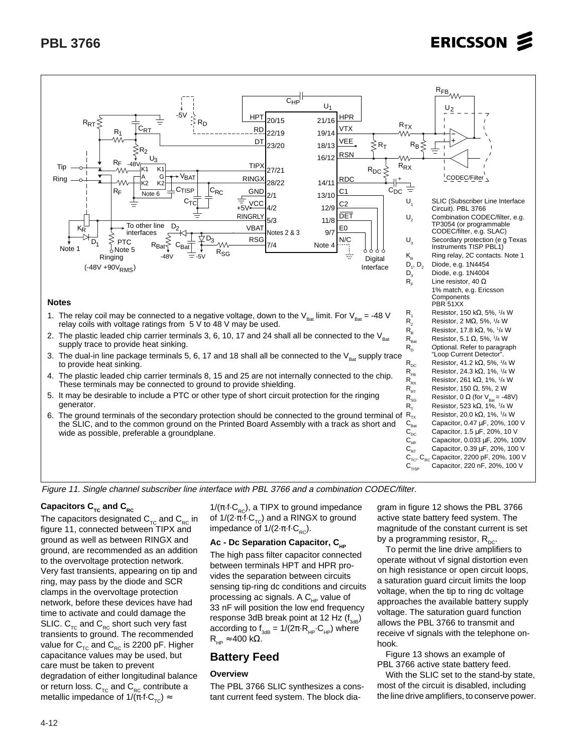

#### **Notes**

- 1. The relay coil may be connected to a negative voltage, down to the  $V_{\text{Bar}}$  limit. For  $V_{\text{Bar}} = -48$  V relay coils with voltage ratings from 5 V to 48 V may be used.
- 2. The plastic leaded chip carrier terminals 3, 6, 10, 17 and 24 shall all be connected to the  $V_{\text{Bat}}$ supply trace to provide heat sinking.
- 3. The dual-in line package terminals 5, 6, 17 and 18 shall all be connected to the  $V_{\text{Rat}}$  supply trace to provide heat sinking.
- 4. The plastic leaded chip carrier terminals 8, 15 and 25 are not internally connected to the chip. These terminals may be connected to ground to provide shielding.
- 5. It may be desirable to include a PTC or other type of short circuit protection for the ringing generator.
- 6. The ground terminals of the secondary protection should be connected to the ground terminal of the SLIC, and to the common ground on the Printed Board Assembly with a track as short and wide as possible, preferable a groundplane.

| $\pm$                                               |                                                                                       |
|-----------------------------------------------------|---------------------------------------------------------------------------------------|
| U,                                                  | SLIC (Subscriber Line Interface<br>Circuit). PBL 3766                                 |
| U,                                                  | Combination CODEC/filter, e.g.<br>TP3054 (or programmable<br>CODEC/filter, e.g. SLAC) |
| $\mathsf{U}_{_3}$                                   | Secordary protection (e g Texas<br>Instruments TISP PBL1)                             |
| $\mathsf{K}_{\mathsf{R}}^{\phantom{\dag}}$          | Ring relay, 2C contacts. Note 1                                                       |
| $D_1, D_2$                                          | Diode, e.g. 1N4454                                                                    |
| $\mathsf{D}_{_3}$                                   | Diode, e.g. 1N4004                                                                    |
| $\mathsf{R}_{\scriptscriptstyle\mathsf{F}}$         | Line resistor, 40 $\Omega$                                                            |
|                                                     | 1% match, e.g. Ericsson                                                               |
|                                                     | Components<br>PBR 51XX                                                                |
| R,                                                  | Resistor, 150 kΩ, 5%, 1/4 W                                                           |
| $R_{2}$                                             | Resistor, 2 M $\Omega$ , 5%, $1/4$ W                                                  |
| $\mathsf{R}_{\mathsf{B}}$                           | Resistor, 17.8 k $\Omega$ , %, $1/4$ W                                                |
| $\mathsf{R}_{_{\mathsf{Bat}}}$                      | Resistor, 5.1 $\Omega$ , 5%, $1/4$ W                                                  |
| $\mathsf{R}^{}_{\mathsf{n}}$                        | Optional. Refer to paragraph<br>"Loop Current Detector".                              |
| $\mathsf{R}_{\mathsf{DC}}$                          | Resistor, 41.2 k $\Omega$ , 5%, $1/4$ W                                               |
| $\mathsf{R}_{\mathsf{FB}}$                          | Resistor, 24.3 k $\Omega$ , 1%, $1/4$ W                                               |
| $\mathsf{R}_{\mathsf{RX}}$                          | Resistor, 261 k $\Omega$ , 1%, $1/4$ W                                                |
| $\mathsf{R}_{\mathsf{RT}}$                          | Resistor, 150 $\Omega$ , 5%, 2 W                                                      |
| $\mathsf{R}_{\mathsf{SG}}$                          | Resistor, 0 $\Omega$ (for $V_{\text{Rat}} = -48V$ )                                   |
| $\mathsf{R}_{\tau}$                                 | Resistor, 523 k $\Omega$ , 1%, $1/4$ W                                                |
| $R_{TX}$                                            | Resistor, 20.0 k $\Omega$ , 1%, $1/4$ W                                               |
| $\mathsf{C}_{_{\mathsf{Bat}}}$                      | Capacitor, 0.47 µF, 20%, 100 V                                                        |
| $\mathsf{C}_\mathsf{dc}$                            | Capacitor, 1.5 µF, 20%, 10 V                                                          |
| $\mathsf{C}_{\mathsf{HP}}$                          | Capacitor, 0.033 µF, 20%, 100V                                                        |
| $\mathsf{C}_{\mathsf{R}\mathsf{T}}$                 | Capacitor, 0.39 µF, 20%, 100 V                                                        |
| $\mathtt{C}_\mathtt{TC}$ , $\mathtt{C}_\mathtt{RC}$ | Capacitor, 2200 pF, 20%, 100 V                                                        |
| $\mathsf{C}_{\sf TISP}$                             | Capacitor, 220 nF, 20%, 100 V                                                         |

Figure 11. Single channel subscriber line interface with PBL 3766 and a combination CODEC/filter.

#### Capacitors C<sub>TC</sub> and C<sub>RC</sub>

The capacitors designated  $C_{TC}$  and  $C_{RC}$  in figure 11, connected between TIPX and ground as well as between RINGX and ground, are recommended as an addition to the overvoltage protection network. Very fast transients, appearing on tip and ring, may pass by the diode and SCR clamps in the overvoltage protection network, before these devices have had time to activate and could damage the SLIC.  $C_{TC}$  and  $C_{RC}$  short such very fast transients to ground. The recommended value for  $C_{TC}$  and  $C_{RC}$  is 2200 pF. Higher capacitance values may be used, but care must be taken to prevent degradation of either longitudinal balance or return loss.  $C_{TC}$  and  $C_{RC}$  contribute a metallic impedance of  $1/(\pi \cdot f \cdot C_{\tau_c}) \approx$ 

 $1/(\pi \cdot f \cdot C_{RC})$ , a TIPX to ground impedance of  $1/(2 \cdot \pi \cdot f \cdot C_{\tau C})$  and a RINGX to ground impedance of  $1/(2 \cdot \pi \cdot f \cdot C_{RC})$ .

#### Ac - Dc Separation Capacitor, C<sub>HP</sub>

The high pass filter capacitor connected between terminals HPT and HPR provides the separation between circuits sensing tip-ring dc conditions and circuits processing ac signals. A  $C_{HP}$  value of 33 nF will position the low end frequency response 3dB break point at 12 Hz  $(f_{3dB})$ according to  $f_{3dB} = 1/(2\pi \cdot R_{HP} \cdot C_{HP})$  where  $R_{HP} \approx 400 \text{ k}\Omega$ .

### **Battery Feed**

#### **Overview**

The PBL 3766 SLIC synthesizes a constant current feed system. The block diagram in figure 12 shows the PBL 3766 active state battery feed system. The magnitude of the constant current is set by a programming resistor,  $R_{\text{nc}}$ .

To permit the line drive amplifiers to operate without vf signal distortion even on high resistance or open circuit loops, a saturation guard circuit limits the loop voltage, when the tip to ring dc voltage approaches the available battery supply voltage. The saturation guard function allows the PBL 3766 to transmit and receive vf signals with the telephone onhook.

Figure 13 shows an example of PBL 3766 active state battery feed.

With the SLIC set to the stand-by state, most of the circuit is disabled, including the line drive amplifiers, to conserve power.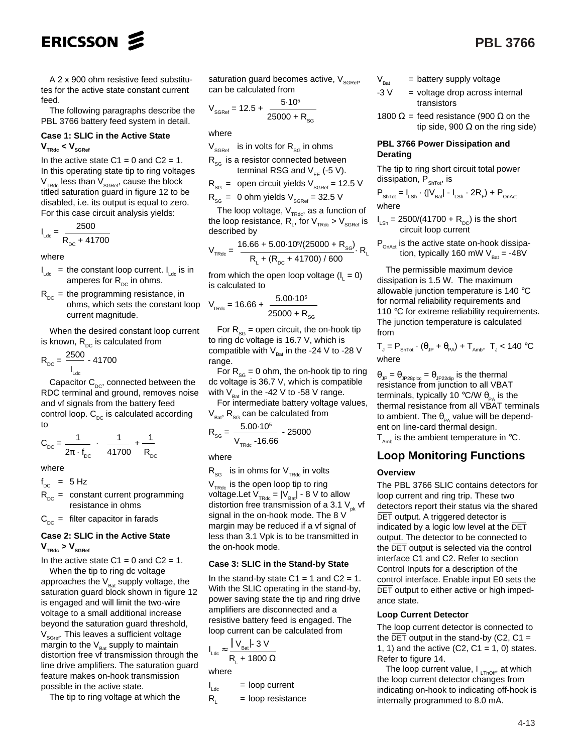

A 2 x 900 ohm resistive feed substitutes for the active state constant current feed.

The following paragraphs describe the PBL 3766 battery feed system in detail.

#### **Case 1: SLIC in the Active State**  $V_{\text{TRdc}} < V_{\text{SGRef}}$

In the active state  $C1 = 0$  and  $C2 = 1$ . In this operating state tip to ring voltages  $V<sub>TRdc</sub>$  less than  $V<sub>SCRef</sub>$ , cause the block titled saturation guard in figure 12 to be disabled, i.e. its output is equal to zero. For this case circuit analysis yields:

$$
I_{\text{Ldc}} = \frac{2500}{R_{\text{DC}} + 41700}
$$

where

- $I_{\text{Ldc}}$  = the constant loop current.  $I_{\text{Ldc}}$  is in amperes for  $R_{DC}$  in ohms.
- $R_{DC}$  = the programming resistance, in ohms, which sets the constant loop current magnitude.

When the desired constant loop current is known,  $R_{DC}$  is calculated from

$$
R_{\rm DC} = \frac{2500}{I_{\rm Ldc}} - 41700
$$

Capacitor  $C_{\text{nc}}$ , connected between the RDC terminal and ground, removes noise and vf signals from the battery feed control loop.  $C_{\text{DC}}$  is calculated according to

$$
C_{DC} = \frac{1}{2\pi \cdot f_{DC}} \cdot \left[ \frac{1}{41700} + \frac{1}{R_{DC}} \right]
$$

where

 $f_{DC}$  = 5 Hz

 $R_{\text{DC}}$  = constant current programming resistance in ohms

 $C_{\text{DC}}$  = filter capacitor in farads

#### **Case 2: SLIC in the Active State**

 $V_{\text{TRdc}}$  >  $V_{\text{SGRef}}$ 

In the active state  $C1 = 0$  and  $C2 = 1$ . When the tip to ring dc voltage

approaches the  $V_{\text{Bat}}$  supply voltage, the saturation guard block shown in figure 12 is engaged and will limit the two-wire voltage to a small additional increase beyond the saturation guard threshold,  $V_{S\text{Gref}}$ . This leaves a sufficient voltage margin to the  $V_{\text{Bat}}$  supply to maintain distortion free vf transmission through the line drive amplifiers. The saturation guard feature makes on-hook transmission possible in the active state.

The tip to ring voltage at which the

saturation guard becomes active,  $V_{SGRer}$ can be calculated from

$$
V_{\text{SGRef}} = 12.5 + \frac{5.10^5}{25000 + R_{\text{SG}}}
$$

where

- $V_{SGRat}$  is in volts for  $R_{SG}$  in ohms
- $R_{\rm sc}$  is a resistor connected between terminal RSG and  $V_{ee}$  (-5 V).
- $R_{SG}$  = open circuit yields  $V_{SGRef}$  = 12.5 V

$$
R_{SG}
$$
 = 0 ohm yields  $V_{SGRef}$  = 32.5 V

The loop voltage,  $V_{TRdc}$ , as a function of the loop resistance,  $\mathsf{R}_{_\mathsf{L}}$ , for  $\mathsf{V}_{_\mathsf{TRdc}}$  >  $\mathsf{V}_{_\mathsf{SGRef}}$  is described by

$$
V_{\text{TRdc}} = \frac{16.66 + 5.00 \cdot 10^5 / (25000 + R_{\text{SG}})}{R_{\text{L}} + (R_{\text{DC}} + 41700) / 600} R_{\text{L}}
$$

from which the open loop voltage  $(l_1 = 0)$ is calculated to

$$
V_{\text{TRdc}} = 16.66 + \frac{5.00 \cdot 10^5}{25000 + R_{\text{SG}}}
$$

For  $R_{SG}$  = open circuit, the on-hook tip to ring dc voltage is 16.7 V, which is compatible with  $V_{\text{Rat}}$  in the -24 V to -28 V range.

For  $R_{SG} = 0$  ohm, the on-hook tip to ring dc voltage is 36.7 V, which is compatible with  $V_{\text{Bat}}$  in the -42 V to -58 V range.

For intermediate battery voltage values,  $V_{\text{Bat}}$ , R<sub>SG</sub> can be calculated from

$$
R_{SG} = \frac{5.00 \cdot 10^5}{V_{TRdc} - 16.66} - 25000
$$

where

 $R_{SG}$  is in ohms for  $V_{TRdc}$  in volts

 $V<sub>TRdc</sub>$  is the open loop tip to ring voltage. Let  $V_{TRdc} = |V_{Bat}| - 8$  V to allow distortion free transmission of a 3.1  $V_{pk}$  vf signal in the on-hook mode. The 8 V margin may be reduced if a vf signal of less than 3.1 Vpk is to be transmitted in the on-hook mode.

#### **Case 3: SLIC in the Stand-by State**

In the stand-by state  $C1 = 1$  and  $C2 = 1$ . With the SLIC operating in the stand-by, power saving state the tip and ring drive amplifiers are disconnected and a resistive battery feed is engaged. The loop current can be calculated from

$$
I_{\text{Ldc}} \approx \frac{1 V_{\text{Bat}} I \cdot 3 V}{R_{\text{L}} + 1800 \Omega}
$$
  
where

 $I_{Ldc}$  $=$  loop current

$$
R_{L} = loop resistance
$$

- $V_{\text{Bat}}$  = battery supply voltage
- $-3$  V = voltage drop across internal transistors
- 1800  $\Omega$  = feed resistance (900  $\Omega$  on the tip side, 900  $\Omega$  on the ring side)

#### **PBL 3766 Power Dissipation and Derating**

The tip to ring short circuit total power dissipation,  $P_{\text{Shtot}}$ , is

$$
P_{\text{ShTot}} = I_{\text{LSh}} \cdot (|V_{\text{Bat}}| - I_{\text{LSh}} \cdot 2R_{F}) + P_{\text{OnAct}}
$$
 where

$$
I_{LSh} = 2500/(41700 + R_{DC})
$$
 is the short  
circuit loop current

 $\mathsf{P}_{_\mathsf{OnAct}}$  is the active state on-hook dissipation, typically 160 mW V $_{\mathrm{Bat}}$  = -48V

The permissible maximum device dissipation is 1.5 W. The maximum allowable junction temperature is 140 °C for normal reliability requirements and 110 °C for extreme reliability requirements. The junction temperature is calculated from

$$
T_{j} = P_{\text{ShTot}} \cdot (\theta_{jp} + \theta_{PA}) + T_{\text{Amb}} \text{, } T_{j} < 140 \text{ °C}
$$
\n
$$
\text{where}
$$

 $\theta_{\text{JP}} = \theta_{\text{JP28ploc}} = \theta_{\text{JP22dip}}$  is the thermal resistance from junction to all VBAT terminals, typically 10 °C/W  $\theta_{p_0}$  is the thermal resistance from all VBAT terminals to ambient. The  $\theta_{PA}$  value will be dependent on line-card thermal design.  $T_{\text{amb}}$  is the ambient temperature in  $\text{°C}$ .

### **Loop Monitoring Functions**

#### **Overview**

The PBL 3766 SLIC contains detectors for loop current and ring trip. These two detectors report their status via the shared DET output. A triggered detector is indicated by a logic low level at the  $\overline{\text{DET}}$ output. The detector to be connected to the DET output is selected via the control interface C1 and C2. Refer to section Control Inputs for a description of the control interface. Enable input E0 sets the DET output to either active or high impedance state.

#### **Loop Current Detector**

The loop current detector is connected to the  $\overline{DET}$  output in the stand-by (C2, C1 = 1, 1) and the active  $(C2, C1 = 1, 0)$  states. Refer to figure 14.

The loop current value,  $I_{LThOff}$ , at which the loop current detector changes from indicating on-hook to indicating off-hook is internally programmed to 8.0 mA.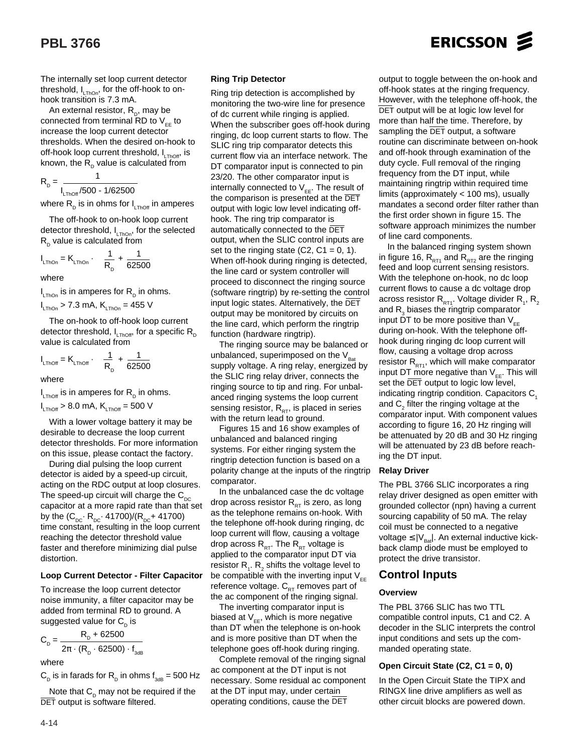The internally set loop current detector threshold,  $I_{LThOn}$ , for the off-hook to onhook transition is 7.3 mA.

An external resistor,  $R_{p}$ , may be connected from terminal RD to  $V_{EF}$  to increase the loop current detector thresholds. When the desired on-hook to off-hook loop current threshold,  $I_{TbOff}$ , is known, the  $R_p$  value is calculated from

$$
R_{\rm p} = \frac{1}{I_{\rm LThOff}/500 - 1/62500}
$$

where  $R_{\text{D}}$  is in ohms for  $I_{\text{L}TbOff}$  in amperes

The off-hook to on-hook loop current detector threshold,  $I_{LThOn}$ , for the selected  $R_{\rm o}$  value is calculated from

$$
I_{\text{LThOn}} = K_{\text{LThOn}} \cdot \left[ \frac{1}{R_{\text{D}}} + \frac{1}{62500} \right]
$$

where

 $I_{\text{\tiny LThOn}}$  is in amperes for  $\text{R}_{_{\text{D}}}$  in ohms.

$$
I_{\text{LThOn}} > 7.3 \text{ mA}, K_{\text{LThOn}} = 455 \text{ V}
$$

The on-hook to off-hook loop current detector threshold,  $I_{LThOff}$ , for a specific  $R_D$ value is calculated from

$$
I_{LThOff} = K_{LThOff} \cdot \left[ \frac{1}{R_{D}} + \frac{1}{62500} \right]
$$

where

 $I_{LThOff}$  is in amperes for  $R_{\text{D}}$  in ohms.  $I_{LThOff}$  > 8.0 mA,  $K_{LThOff}$  = 500 V

With a lower voltage battery it may be desirable to decrease the loop current detector thresholds. For more information on this issue, please contact the factory.

During dial pulsing the loop current detector is aided by a speed-up circuit, acting on the RDC output at loop closures. The speed-up circuit will charge the  $C_{DC}$ capacitor at a more rapid rate than that set by the  $(C_{\text{DC}} \cdot R_{\text{DC}} \cdot 41700)/(R_{\text{DC}} + 41700)$ time constant, resulting in the loop current reaching the detector threshold value faster and therefore minimizing dial pulse distortion.

#### **Loop Current Detector - Filter Capacitor**

To increase the loop current detector noise immunity, a filter capacitor may be added from terminal RD to ground. A suggested value for  $C_p$  is

$$
C_{D} = \frac{R_{D} + 62500}{2\pi \cdot (R_{D} \cdot 62500) \cdot f_{\text{3dB}}}
$$

where

 $C_{\text{D}}$  is in farads for R<sub>D</sub> in ohms  $f_{\text{3dB}} = 500$  Hz

Note that  $C_p$  may not be required if the DET output is software filtered.

#### **Ring Trip Detector**

Ring trip detection is accomplished by monitoring the two-wire line for presence of dc current while ringing is applied. When the subscriber goes off-hook during ringing, dc loop current starts to flow. The SLIC ring trip comparator detects this current flow via an interface network. The DT comparator input is connected to pin 23/20. The other comparator input is internally connected to  $V_{EE}$ . The result of the comparison is presented at the  $\overline{\text{DET}}$ output with logic low level indicating offhook. The ring trip comparator is automatically connected to the DET output, when the SLIC control inputs are set to the ringing state  $(C2, C1 = 0, 1)$ . When off-hook during ringing is detected. the line card or system controller will proceed to disconnect the ringing source (software ringtrip) by re-setting the control input logic states. Alternatively, the DET output may be monitored by circuits on the line card, which perform the ringtrip function (hardware ringtrip).

The ringing source may be balanced or unbalanced, superimposed on the  $V_{\text{Bat}}$ supply voltage. A ring relay, energized by the SLIC ring relay driver, connects the ringing source to tip and ring. For unbalanced ringing systems the loop current sensing resistor,  $R_{DT}$ , is placed in series with the return lead to ground.

Figures 15 and 16 show examples of unbalanced and balanced ringing systems. For either ringing system the ringtrip detection function is based on a polarity change at the inputs of the ringtrip comparator.

In the unbalanced case the dc voltage drop across resistor  $R_{RT}$  is zero, as long as the telephone remains on-hook. With the telephone off-hook during ringing, dc loop current will flow, causing a voltage drop across  $R_{RT}$ . The  $R_{RT}$  voltage is applied to the comparator input DT via resistor  $\mathsf{R}_{\scriptscriptstyle{1}}$ .  $\mathsf{R}_{\scriptscriptstyle{2}}$  shifts the voltage level to be compatible with the inverting input  $V_{EE}$ reference voltage.  $C_{RT}$  removes part of the ac component of the ringing signal.

The inverting comparator input is biased at  $V_{EF}$ , which is more negative than DT when the telephone is on-hook and is more positive than DT when the telephone goes off-hook during ringing.

Complete removal of the ringing signal ac component at the DT input is not necessary. Some residual ac component at the DT input may, under certain operating conditions, cause the DET

output to toggle between the on-hook and off-hook states at the ringing frequency. However, with the telephone off-hook, the DET output will be at logic low level for more than half the time. Therefore, by sampling the  $\overline{\text{DET}}$  output, a software routine can discriminate between on-hook and off-hook through examination of the duty cycle. Full removal of the ringing frequency from the DT input, while maintaining ringtrip within required time limits (approximately < 100 ms), usually mandates a second order filter rather than the first order shown in figure 15. The software approach minimizes the number of line card components.

In the balanced ringing system shown in figure 16,  $R_{RT1}$  and  $R_{RT2}$  are the ringing feed and loop current sensing resistors. With the telephone on-hook, no dc loop current flows to cause a dc voltage drop across resistor  $\mathsf{R}_{\mathsf{RT1}}$ . Voltage divider  $\mathsf{R}_{_{1}},$   $\mathsf{R}_{_{2}}$ and  $\mathsf{R}_{_{\mathrm{3}}}$  biases the ringtrip comparator input DT to be more positive than  $V_{ee}$ during on-hook. With the telephone offhook during ringing dc loop current will flow, causing a voltage drop across resistor  $R_{RT1}$ , which will make comparator input DT more negative than  $V_{ee}$ . This will set the DET output to logic low level, indicating ringtrip condition. Capacitors C. and  $\mathsf{C}_2^{}$  filter the ringing voltage at the comparator input. With component values according to figure 16, 20 Hz ringing will be attenuated by 20 dB and 30 Hz ringing will be attenuated by 23 dB before reaching the DT input.

#### **Relay Driver**

The PBL 3766 SLIC incorporates a ring relay driver designed as open emitter with grounded collector (npn) having a current sourcing capability of 50 mA. The relay coil must be connected to a negative voltage  $\leq$   $|V_{\text{B}}|$ . An external inductive kickback clamp diode must be employed to protect the drive transistor.

### **Control Inputs**

#### **Overview**

The PBL 3766 SLIC has two TTL compatible control inputs, C1 and C2. A decoder in the SLIC interprets the control input conditions and sets up the commanded operating state.

#### **Open Circuit State (C2, C1 = 0, 0)**

In the Open Circuit State the TIPX and RINGX line drive amplifiers as well as other circuit blocks are powered down.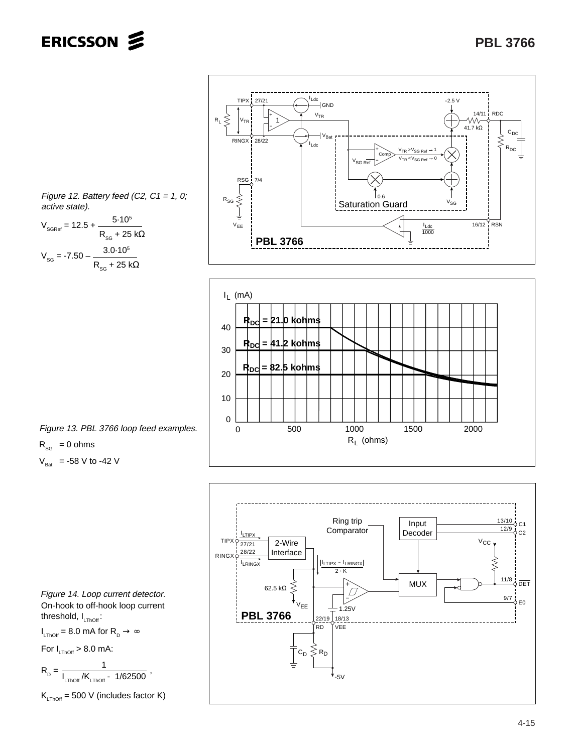



Figure 12. Battery feed (C2,  $C1 = 1$ , 0; active state).

$$
V_{\text{SGRef}} = 12.5 + \frac{5.10^5}{R_{\text{SG}} + 25 \text{ k}\Omega}
$$

$$
V_{\text{SG}} = -7.50 - \frac{3.0 \cdot 10^5}{R_{\text{SG}} + 25 \text{ k}\Omega}
$$

Figure 13. PBL 3766 loop feed examples.  $R_{SG} = 0$  ohms

 $V_{\text{Bat}}$  = -58 V to -42 V



On-hook to off-hook loop current threshold,  $I_{LThOff}$ : Figure 14. Loop current detector.

 $I_{\text{LThOff}} = 8.0 \text{ mA}$  for  $R_{\text{D}} \rightarrow \infty$ 

For 
$$
I_{LThOff} > 8.0
$$
 mA:

$$
R_{\rm p} = \frac{1}{I_{\rm LThOff}/K_{\rm LThOff} - 1/62500} \; ,
$$

$$
K_{LThOff} = 500 \text{ V} \text{ (includes factor K)}
$$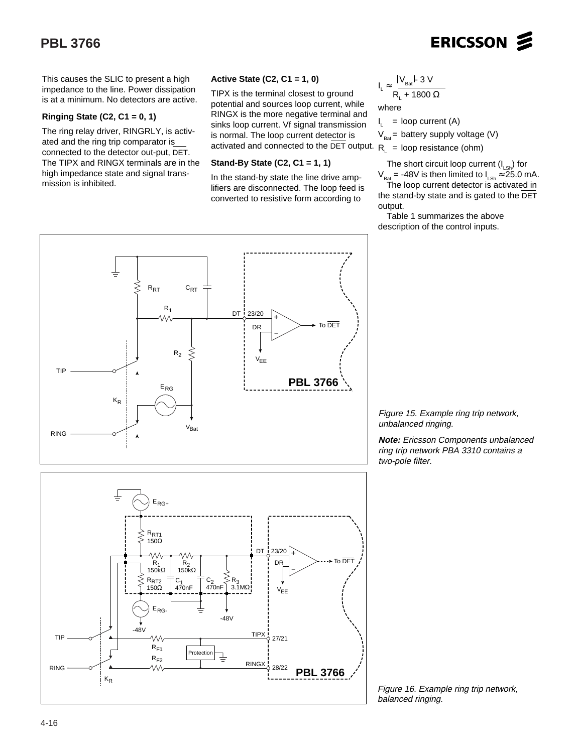# ERICSSON **S**

This causes the SLIC to present a high impedance to the line. Power dissipation is at a minimum. No detectors are active.

#### **Ringing State (C2, C1 = 0, 1)**

The ring relay driver, RINGRLY, is activated and the ring trip comparator is connected to the detector out-put, DET. The TIPX and RINGX terminals are in the high impedance state and signal transmission is inhibited.

#### **Active State (C2, C1 = 1, 0)**

TIPX is the terminal closest to ground potential and sources loop current, while RINGX is the more negative terminal and sinks loop current. Vf signal transmission is normal. The loop current detector is activated and connected to the DET output.  $R_{L}$  = loop resistance (ohm)

#### **Stand-By State (C2, C1 = 1, 1)**

In the stand-by state the line drive amplifiers are disconnected. The loop feed is converted to resistive form according to

$$
I_{L} \approx \frac{|V_{\text{Bat}}| \cdot 3 \text{ V}}{R_{L} + 1800 \ \Omega}
$$
  
where

I,  $=$  loop current (A)

 $V_{\text{net}}$  = battery supply voltage (V)

The short circuit loop current  $(I_{LSh})$  for

 $V_{\text{Bat}} = -48V$  is then limited to  $I_{\text{Lsh}} \approx 25.0$  mA. The loop current detector is activated in the stand-by state and is gated to the DET output.

Table 1 summarizes the above description of the control inputs.



Figure 15. Example ring trip network, unbalanced ringing.

**Note:** Ericsson Components unbalanced ring trip network PBA 3310 contains a two-pole filter.



Figure 16. Example ring trip network, balanced ringing.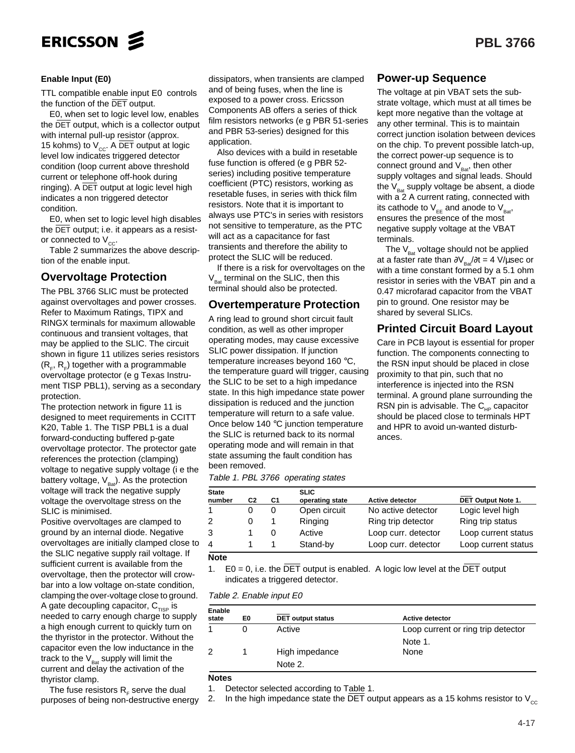

#### **Enable Input (E0)**

TTL compatible enable input E0 controls the function of the DET output.

E0, when set to logic level low, enables the DET output, which is a collector output with internal pull-up resistor (approx. 15 kohms) to  $V_{cc}$ . A DET output at logic level low indicates triggered detector condition (loop current above threshold current or telephone off-hook during ringing). A DET output at logic level high indicates a non triggered detector condition.

E0, when set to logic level high disables the DET output; i.e. it appears as a resistor connected to  $V_{cc}$ .

Table 2 summarizes the above description of the enable input.

#### **Overvoltage Protection**

The PBL 3766 SLIC must be protected against overvoltages and power crosses. Refer to Maximum Ratings, TIPX and RINGX terminals for maximum allowable continuous and transient voltages, that may be applied to the SLIC. The circuit shown in figure 11 utilizes series resistors  $(R_{F}, R_{F})$  together with a programmable overvoltage protector (e g Texas Instrument TISP PBL1), serving as a secondary protection.

The protection network in figure 11 is designed to meet requirements in CCITT K20, Table 1. The TISP PBL1 is a dual forward-conducting buffered p-gate overvoltage protector. The protector gate references the protection (clamping) voltage to negative supply voltage (i e the battery voltage,  $V_{\text{Bat}}$ ). As the protection voltage will track the negative supply voltage the overvoltage stress on the SLIC is minimised.

Positive overvoltages are clamped to ground by an internal diode. Negative overvoltages are initially clamped close to the SLIC negative supply rail voltage. If sufficient current is available from the overvoltage, then the protector will crowbar into a low voltage on-state condition, clamping the over-voltage close to ground. A gate decoupling capacitor,  $C_{TISP}$  is needed to carry enough charge to supply a high enough current to quickly turn on the thyristor in the protector. Without the capacitor even the low inductance in the track to the  $V_{\text{Rat}}$  supply will limit the current and delay the activation of the thyristor clamp.

The fuse resistors  $R<sub>r</sub>$  serve the dual purposes of being non-destructive energy

dissipators, when transients are clamped and of being fuses, when the line is exposed to a power cross. Ericsson Components AB offers a series of thick film resistors networks (e g PBR 51-series and PBR 53-series) designed for this application.

Also devices with a build in resetable fuse function is offered (e g PBR 52 series) including positive temperature coefficient (PTC) resistors, working as resetable fuses, in series with thick film resistors. Note that it is important to always use PTC's in series with resistors not sensitive to temperature, as the PTC will act as a capacitance for fast transients and therefore the ability to protect the SLIC will be reduced.

If there is a risk for overvoltages on the  $V_{\text{Bat}}$  terminal on the SLIC, then this terminal should also be protected.

#### **Overtemperature Protection**

A ring lead to ground short circuit fault condition, as well as other improper operating modes, may cause excessive SLIC power dissipation. If junction temperature increases beyond 160 °C, the temperature guard will trigger, causing the SLIC to be set to a high impedance state. In this high impedance state power dissipation is reduced and the junction temperature will return to a safe value. Once below 140 °C junction temperature the SLIC is returned back to its normal operating mode and will remain in that state assuming the fault condition has been removed.

| Table 1. PBL 3766 operating states |  |
|------------------------------------|--|
|------------------------------------|--|

| <b>State</b><br>number | C <sub>2</sub> | C <sub>1</sub> | <b>SLIC</b><br>operating state | <b>Active detector</b> | DET Output Note 1.  |
|------------------------|----------------|----------------|--------------------------------|------------------------|---------------------|
|                        |                |                | Open circuit                   | No active detector     | Logic level high    |
| 2                      |                |                | Ringing                        | Ring trip detector     | Ring trip status    |
| 3                      |                |                | Active                         | Loop curr. detector    | Loop current status |
| 4                      |                |                | Stand-by                       | Loop curr. detector    | Loop current status |

#### **Note**

1.  $E0 = 0$ , i.e. the DET output is enabled. A logic low level at the DET output indicates a triggered detector.

#### Table 2. Enable input E0

| Enable<br>state | E <sub>0</sub> | <b>DET</b> output status | <b>Active detector</b>             |
|-----------------|----------------|--------------------------|------------------------------------|
|                 | 0              | Active                   | Loop current or ring trip detector |
|                 |                |                          | Note 1.                            |
| 2               |                | High impedance           | None                               |
|                 |                | Note 2.                  |                                    |
| <b>Notes</b>    |                |                          |                                    |

1. Detector selected according to Table 1.

2. In the high impedance state the DET output appears as a 15 kohms resistor to  $V_{cc}$ 

### **Power-up Sequence**

The voltage at pin VBAT sets the substrate voltage, which must at all times be kept more negative than the voltage at any other terminal. This is to maintain correct junction isolation between devices on the chip. To prevent possible latch-up, the correct power-up sequence is to connect ground and  $V_{\text{part}}$ , then other supply voltages and signal leads. Should the  $V_{\text{Bat}}$  supply voltage be absent, a diode with a 2 A current rating, connected with its cathode to  $V_{EE}$  and anode to  $V_{Bat}$ , ensures the presence of the most negative supply voltage at the VBAT terminals.

The  $V_{\text{part}}$  voltage should not be applied at a faster rate than  $\partial V_{Bar}/\partial t = 4$  V/µsec or with a time constant formed by a 5.1 ohm resistor in series with the VBAT pin and a 0.47 microfarad capacitor from the VBAT pin to ground. One resistor may be shared by several SLICs.

### **Printed Circuit Board Layout**

Care in PCB layout is essential for proper function. The components connecting to the RSN input should be placed in close proximity to that pin, such that no interference is injected into the RSN terminal. A ground plane surrounding the RSN pin is advisable. The  $C_{\mu}$  capacitor should be placed close to terminals HPT and HPR to avoid un-wanted disturbances.